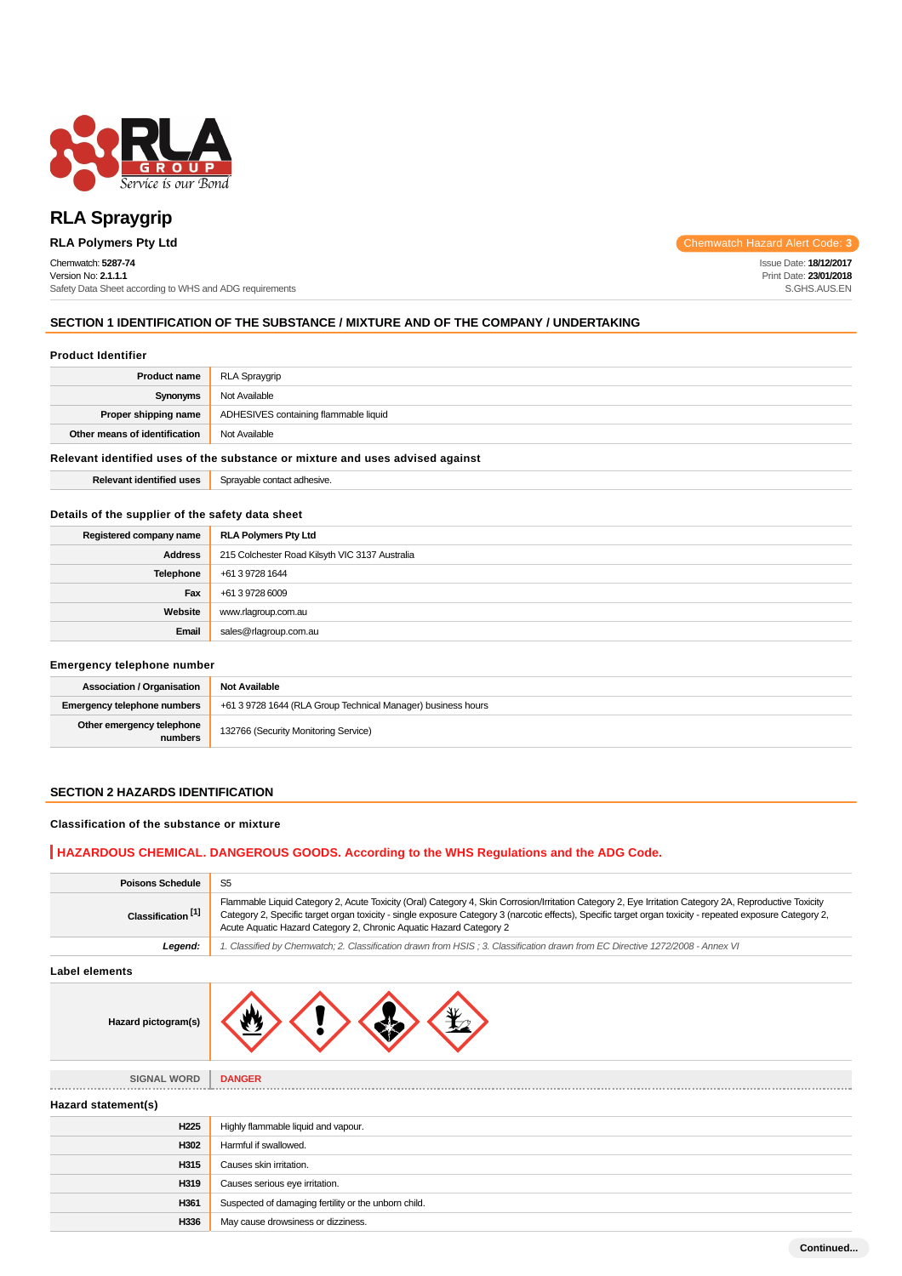

# **RLA Spraygrip**

# Chemwatch: **5287-74**

Version No: **2.1.1.1** Safety Data Sheet according to WHS and ADG requirements

**RLA Polymers Pty Ltd** Chemwatch Hazard Alert Code: **3** 

Issue Date: **18/12/2017** Print Date: **23/01/2018** S.GHS.AUS.EN

# **SECTION 1 IDENTIFICATION OF THE SUBSTANCE / MIXTURE AND OF THE COMPANY / UNDERTAKING**

#### **Product Identifier**

| <b>Product name</b>           | RLA Spraygrip                         |
|-------------------------------|---------------------------------------|
| Synonyms                      | Not Available                         |
| Proper shipping name          | ADHESIVES containing flammable liquid |
| Other means of identification | Not Available                         |

# **Relevant identified uses of the substance or mixture and uses advised against**

**Relevant identified uses** Sprayable contact adhesive.

#### **Details of the supplier of the safety data sheet**

| Registered company name | <b>RLA Polymers Pty Ltd</b>                    |
|-------------------------|------------------------------------------------|
| <b>Address</b>          | 215 Colchester Road Kilsyth VIC 3137 Australia |
| Telephone               | +61 3 9728 1644                                |
| Fax                     | +61 3 9728 6009                                |
| Website                 | www.rlagroup.com.au                            |
| Email                   | sales@rlagroup.com.au                          |

# **Emergency telephone number**

| <b>Association / Organisation</b>    | <b>Not Available</b>                                         |
|--------------------------------------|--------------------------------------------------------------|
| Emergency telephone numbers          | +61 3 9728 1644 (RLA Group Technical Manager) business hours |
| Other emergency telephone<br>numbers | 132766 (Security Monitoring Service)                         |

# **SECTION 2 HAZARDS IDENTIFICATION**

#### **Classification of the substance or mixture**

# **HAZARDOUS CHEMICAL. DANGEROUS GOODS. According to the WHS Regulations and the ADG Code.**

| <b>Poisons Schedule</b>       | S <sub>5</sub>                                                                                                                                                                                                                                                                                                                                                                             |  |  |
|-------------------------------|--------------------------------------------------------------------------------------------------------------------------------------------------------------------------------------------------------------------------------------------------------------------------------------------------------------------------------------------------------------------------------------------|--|--|
| Classification <sup>[1]</sup> | Flammable Liquid Category 2, Acute Toxicity (Oral) Category 4, Skin Corrosion/Irritation Category 2, Eye Irritation Category 2A, Reproductive Toxicity<br>Category 2, Specific target organ toxicity - single exposure Category 3 (narcotic effects), Specific target organ toxicity - repeated exposure Category 2,<br>Acute Aquatic Hazard Category 2, Chronic Aquatic Hazard Category 2 |  |  |
| Legend:                       | 1. Classified by Chemwatch; 2. Classification drawn from HSIS; 3. Classification drawn from EC Directive 1272/2008 - Annex VI                                                                                                                                                                                                                                                              |  |  |
| <b>Label elements</b>         |                                                                                                                                                                                                                                                                                                                                                                                            |  |  |
| Hazard pictogram(s)           |                                                                                                                                                                                                                                                                                                                                                                                            |  |  |
| <b>SIGNAL WORD</b>            | <b>DANGER</b>                                                                                                                                                                                                                                                                                                                                                                              |  |  |
| Hazard statement(s)           |                                                                                                                                                                                                                                                                                                                                                                                            |  |  |
| H <sub>225</sub>              | Highly flammable liquid and vapour.                                                                                                                                                                                                                                                                                                                                                        |  |  |
| H302                          | Harmful if swallowed.                                                                                                                                                                                                                                                                                                                                                                      |  |  |
| H315                          | Causes skin irritation.                                                                                                                                                                                                                                                                                                                                                                    |  |  |
| H319                          | Causes serious eye irritation.                                                                                                                                                                                                                                                                                                                                                             |  |  |
| H361                          | Suspected of damaging fertility or the unborn child.                                                                                                                                                                                                                                                                                                                                       |  |  |
| H336                          | May cause drowsiness or dizziness.                                                                                                                                                                                                                                                                                                                                                         |  |  |
|                               | Continued                                                                                                                                                                                                                                                                                                                                                                                  |  |  |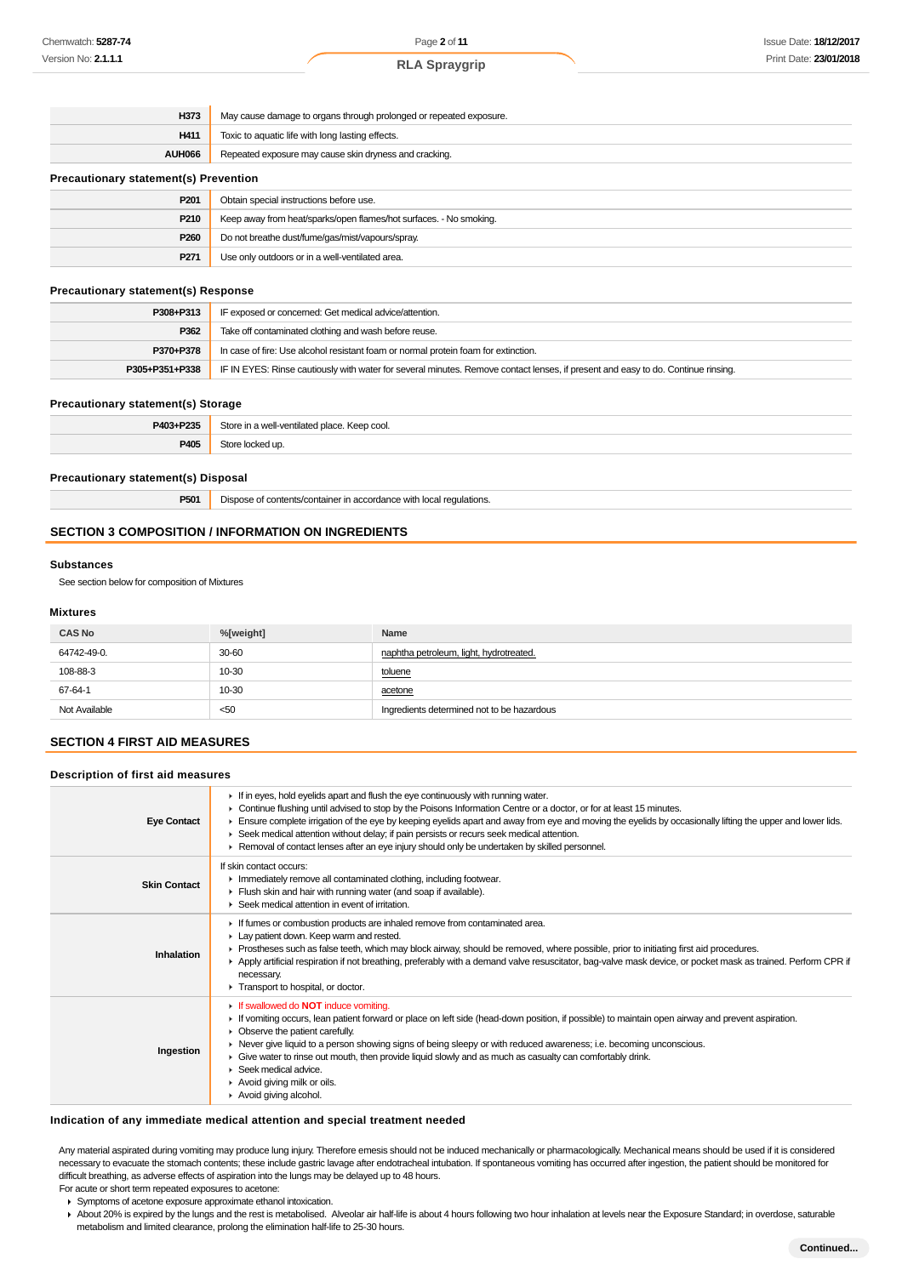| H373                                         | May cause damage to organs through prolonged or repeated exposure. |  |
|----------------------------------------------|--------------------------------------------------------------------|--|
| H411                                         | Toxic to aquatic life with long lasting effects.                   |  |
| <b>AUH066</b>                                | Repeated exposure may cause skin dryness and cracking.             |  |
| <b>Precautionary statement(s) Prevention</b> |                                                                    |  |
| P <sub>201</sub>                             | Obtain special instructions before use.                            |  |
| P210                                         | Keep away from heat/sparks/open flames/hot surfaces. - No smoking. |  |

# **Precautionary statement(s) Response**

| P308+P313      | IF exposed or concerned: Get medical advice/attention.                                                                           |
|----------------|----------------------------------------------------------------------------------------------------------------------------------|
| P362           | Take off contaminated clothing and wash before reuse.                                                                            |
| P370+P378      | In case of fire: Use alcohol resistant foam or normal protein foam for extinction.                                               |
| P305+P351+P338 | IF IN EYES: Rinse cautiously with water for several minutes. Remove contact lenses, if present and easy to do. Continue rinsing. |

#### **Precautionary statement(s) Storage**

| P403+P235 | $C$ torc<br>∴ Keep cool.<br>e in a well-ventilated place.<br>. |
|-----------|----------------------------------------------------------------|
| P405      |                                                                |

# **Precautionary statement(s) Disposal**

**P501** Dispose of contents/container in accordance with local regulations.

**P260** Do not breathe dust/fume/gas/mist/vapours/spray. **P271** Use only outdoors or in a well-ventilated area.

# **SECTION 3 COMPOSITION / INFORMATION ON INGREDIENTS**

#### **Substances**

See section below for composition of Mixtures

# **Mixtures**

| <b>CAS No</b> | %[weight] | Name                                       |
|---------------|-----------|--------------------------------------------|
| 64742-49-0.   | 30-60     | naphtha petroleum, light, hydrotreated.    |
| 108-88-3      | 10-30     | toluene                                    |
| 67-64-1       | 10-30     | acetone                                    |
| Not Available | < 50      | Ingredients determined not to be hazardous |

# **SECTION 4 FIRST AID MEASURES**

# **Description of first aid measures**

| <b>Eye Contact</b>  | If in eyes, hold eyelids apart and flush the eye continuously with running water.<br>► Continue flushing until advised to stop by the Poisons Information Centre or a doctor, or for at least 15 minutes.<br>Ensure complete irrigation of the eye by keeping eyelids apart and away from eye and moving the eyelids by occasionally lifting the upper and lower lids.<br>▶ Seek medical attention without delay; if pain persists or recurs seek medical attention.<br>► Removal of contact lenses after an eye injury should only be undertaken by skilled personnel. |
|---------------------|-------------------------------------------------------------------------------------------------------------------------------------------------------------------------------------------------------------------------------------------------------------------------------------------------------------------------------------------------------------------------------------------------------------------------------------------------------------------------------------------------------------------------------------------------------------------------|
| <b>Skin Contact</b> | If skin contact occurs:<br>Inmediately remove all contaminated clothing, including footwear.<br>Flush skin and hair with running water (and soap if available).<br>$\blacktriangleright$ Seek medical attention in event of irritation.                                                                                                                                                                                                                                                                                                                                 |
| Inhalation          | If fumes or combustion products are inhaled remove from contaminated area.<br>Lay patient down. Keep warm and rested.<br>► Prostheses such as false teeth, which may block airway, should be removed, where possible, prior to initiating first aid procedures.<br>▶ Apply artificial respiration if not breathing, preferably with a demand valve resuscitator, bag-valve mask device, or pocket mask as trained. Perform CPR if<br>necessary.<br>Transport to hospital, or doctor.                                                                                    |
| Ingestion           | If swallowed do <b>NOT</b> induce vomiting.<br>If vomiting occurs, lean patient forward or place on left side (head-down position, if possible) to maintain open airway and prevent aspiration.<br>$\triangleright$ Observe the patient carefully.<br>► Never give liquid to a person showing signs of being sleepy or with reduced awareness; i.e. becoming unconscious.<br>Give water to rinse out mouth, then provide liquid slowly and as much as casualty can comfortably drink.<br>Seek medical advice.<br>Avoid giving milk or oils.<br>Avoid giving alcohol.    |

# **Indication of any immediate medical attention and special treatment needed**

Any material aspirated during vomiting may produce lung injury. Therefore emesis should not be induced mechanically or pharmacologically. Mechanical means should be used if it is considered necessary to evacuate the stomach contents; these include gastric lavage after endotracheal intubation. If spontaneous vomiting has occurred after ingestion, the patient should be monitored for difficult breathing, as adverse effects of aspiration into the lungs may be delayed up to 48 hours.

- For acute or short term repeated exposures to acetone:
	- Symptoms of acetone exposure approximate ethanol intoxication.

> About 20% is expired by the lungs and the rest is metabolised. Alveolar air half-life is about 4 hours following two hour inhalation at levels near the Exposure Standard; in overdose, saturable metabolism and limited clearance, prolong the elimination half-life to 25-30 hours.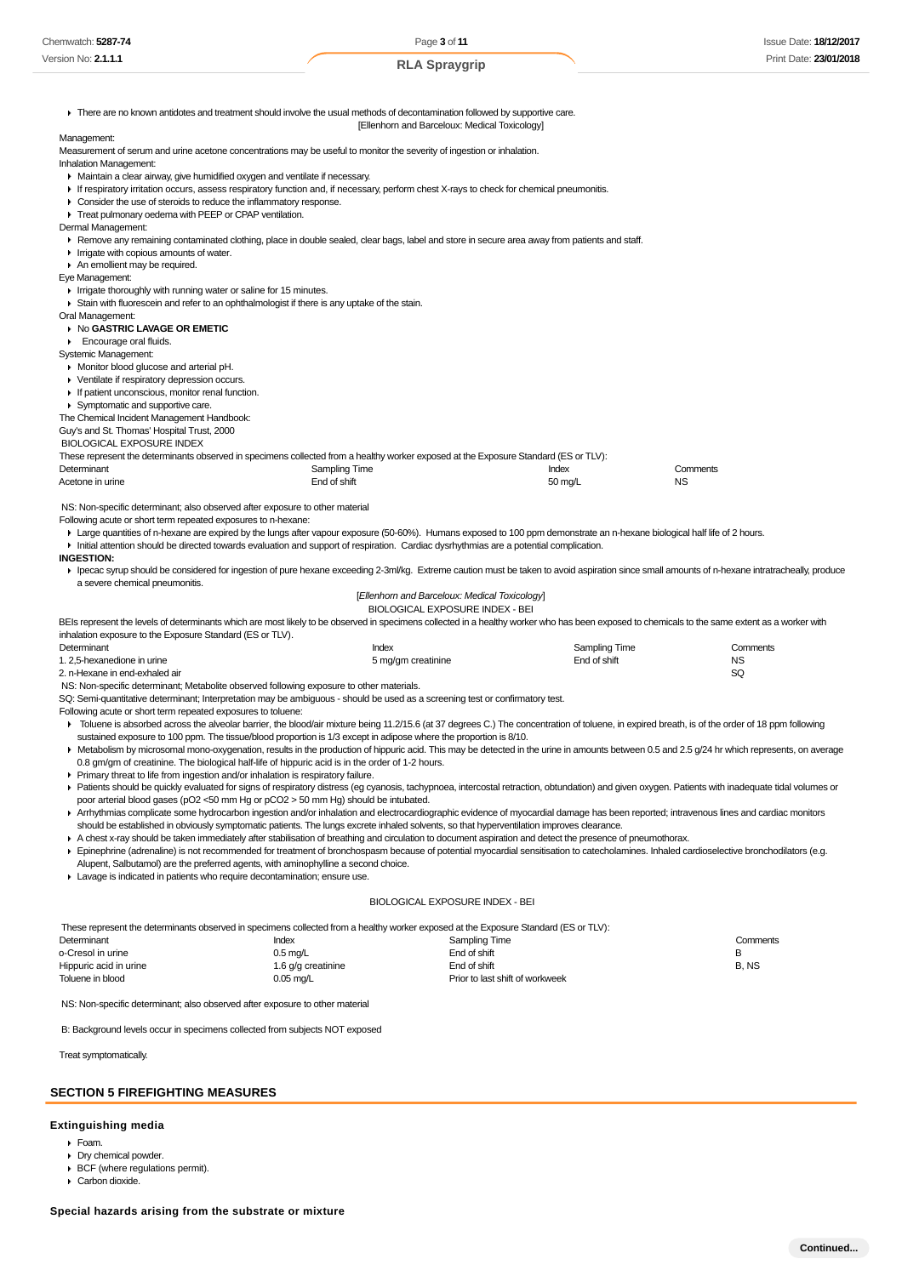|                                                                                                                                                                                                                                                                                                                                                                                                                                                                                                                                                                                                                                                                                                                 |                    | [Ellenhorn and Barceloux: Medical Toxicology]                                    |                                 |          |           |
|-----------------------------------------------------------------------------------------------------------------------------------------------------------------------------------------------------------------------------------------------------------------------------------------------------------------------------------------------------------------------------------------------------------------------------------------------------------------------------------------------------------------------------------------------------------------------------------------------------------------------------------------------------------------------------------------------------------------|--------------------|----------------------------------------------------------------------------------|---------------------------------|----------|-----------|
|                                                                                                                                                                                                                                                                                                                                                                                                                                                                                                                                                                                                                                                                                                                 |                    |                                                                                  |                                 |          |           |
| Management:                                                                                                                                                                                                                                                                                                                                                                                                                                                                                                                                                                                                                                                                                                     |                    |                                                                                  |                                 |          |           |
| Measurement of serum and urine acetone concentrations may be useful to monitor the severity of ingestion or inhalation.                                                                                                                                                                                                                                                                                                                                                                                                                                                                                                                                                                                         |                    |                                                                                  |                                 |          |           |
| Inhalation Management:                                                                                                                                                                                                                                                                                                                                                                                                                                                                                                                                                                                                                                                                                          |                    |                                                                                  |                                 |          |           |
| • Maintain a clear airway, give humidified oxygen and ventilate if necessary.                                                                                                                                                                                                                                                                                                                                                                                                                                                                                                                                                                                                                                   |                    |                                                                                  |                                 |          |           |
| If respiratory irritation occurs, assess respiratory function and, if necessary, perform chest X-rays to check for chemical pneumonitis.                                                                                                                                                                                                                                                                                                                                                                                                                                                                                                                                                                        |                    |                                                                                  |                                 |          |           |
| • Consider the use of steroids to reduce the inflammatory response.                                                                                                                                                                                                                                                                                                                                                                                                                                                                                                                                                                                                                                             |                    |                                                                                  |                                 |          |           |
| Treat pulmonary oedema with PEEP or CPAP ventilation.                                                                                                                                                                                                                                                                                                                                                                                                                                                                                                                                                                                                                                                           |                    |                                                                                  |                                 |          |           |
| Dermal Management:                                                                                                                                                                                                                                                                                                                                                                                                                                                                                                                                                                                                                                                                                              |                    |                                                                                  |                                 |          |           |
| ▶ Remove any remaining contaminated clothing, place in double sealed, clear bags, label and store in secure area away from patients and staff.                                                                                                                                                                                                                                                                                                                                                                                                                                                                                                                                                                  |                    |                                                                                  |                                 |          |           |
| In Irrigate with copious amounts of water.                                                                                                                                                                                                                                                                                                                                                                                                                                                                                                                                                                                                                                                                      |                    |                                                                                  |                                 |          |           |
| An emollient may be required.                                                                                                                                                                                                                                                                                                                                                                                                                                                                                                                                                                                                                                                                                   |                    |                                                                                  |                                 |          |           |
| Eye Management:                                                                                                                                                                                                                                                                                                                                                                                                                                                                                                                                                                                                                                                                                                 |                    |                                                                                  |                                 |          |           |
| I Irrigate thoroughly with running water or saline for 15 minutes.                                                                                                                                                                                                                                                                                                                                                                                                                                                                                                                                                                                                                                              |                    |                                                                                  |                                 |          |           |
| ▶ Stain with fluorescein and refer to an ophthalmologist if there is any uptake of the stain.                                                                                                                                                                                                                                                                                                                                                                                                                                                                                                                                                                                                                   |                    |                                                                                  |                                 |          |           |
| Oral Management:                                                                                                                                                                                                                                                                                                                                                                                                                                                                                                                                                                                                                                                                                                |                    |                                                                                  |                                 |          |           |
| ▶ No GASTRIC LAVAGE OR EMETIC                                                                                                                                                                                                                                                                                                                                                                                                                                                                                                                                                                                                                                                                                   |                    |                                                                                  |                                 |          |           |
| Encourage oral fluids.                                                                                                                                                                                                                                                                                                                                                                                                                                                                                                                                                                                                                                                                                          |                    |                                                                                  |                                 |          |           |
|                                                                                                                                                                                                                                                                                                                                                                                                                                                                                                                                                                                                                                                                                                                 |                    |                                                                                  |                                 |          |           |
| Systemic Management:                                                                                                                                                                                                                                                                                                                                                                                                                                                                                                                                                                                                                                                                                            |                    |                                                                                  |                                 |          |           |
| • Monitor blood glucose and arterial pH.                                                                                                                                                                                                                                                                                                                                                                                                                                                                                                                                                                                                                                                                        |                    |                                                                                  |                                 |          |           |
| • Ventilate if respiratory depression occurs.                                                                                                                                                                                                                                                                                                                                                                                                                                                                                                                                                                                                                                                                   |                    |                                                                                  |                                 |          |           |
| If patient unconscious, monitor renal function.                                                                                                                                                                                                                                                                                                                                                                                                                                                                                                                                                                                                                                                                 |                    |                                                                                  |                                 |          |           |
| Symptomatic and supportive care.                                                                                                                                                                                                                                                                                                                                                                                                                                                                                                                                                                                                                                                                                |                    |                                                                                  |                                 |          |           |
| The Chemical Incident Management Handbook:                                                                                                                                                                                                                                                                                                                                                                                                                                                                                                                                                                                                                                                                      |                    |                                                                                  |                                 |          |           |
| Guy's and St. Thomas' Hospital Trust, 2000                                                                                                                                                                                                                                                                                                                                                                                                                                                                                                                                                                                                                                                                      |                    |                                                                                  |                                 |          |           |
| <b>BIOLOGICAL EXPOSURE INDEX</b>                                                                                                                                                                                                                                                                                                                                                                                                                                                                                                                                                                                                                                                                                |                    |                                                                                  |                                 |          |           |
| These represent the determinants observed in specimens collected from a healthy worker exposed at the Exposure Standard (ES or TLV):                                                                                                                                                                                                                                                                                                                                                                                                                                                                                                                                                                            |                    |                                                                                  |                                 |          |           |
| Determinant                                                                                                                                                                                                                                                                                                                                                                                                                                                                                                                                                                                                                                                                                                     | Sampling Time      |                                                                                  | Index                           | Comments |           |
| Acetone in urine                                                                                                                                                                                                                                                                                                                                                                                                                                                                                                                                                                                                                                                                                                | End of shift       |                                                                                  | 50 mg/L                         | NS       |           |
| E Large quantities of n-hexane are expired by the lungs after vapour exposure (50-60%). Humans exposed to 100 ppm demonstrate an n-hexane biological half life of 2 hours.<br>Initial attention should be directed towards evaluation and support of respiration. Cardiac dysrhythmias are a potential complication.<br>▶ lpecac syrup should be considered for ingestion of pure hexane exceeding 2-3ml/kg. Extreme caution must be taken to avoid aspiration since small amounts of n-hexane intratracheally, produce<br>a severe chemical pneumonitis.                                                                                                                                                       |                    |                                                                                  |                                 |          |           |
|                                                                                                                                                                                                                                                                                                                                                                                                                                                                                                                                                                                                                                                                                                                 |                    | [Ellenhorn and Barceloux: Medical Toxicology]<br>BIOLOGICAL EXPOSURE INDEX - BEI |                                 |          |           |
|                                                                                                                                                                                                                                                                                                                                                                                                                                                                                                                                                                                                                                                                                                                 |                    |                                                                                  |                                 |          |           |
|                                                                                                                                                                                                                                                                                                                                                                                                                                                                                                                                                                                                                                                                                                                 |                    |                                                                                  |                                 |          |           |
|                                                                                                                                                                                                                                                                                                                                                                                                                                                                                                                                                                                                                                                                                                                 |                    | Index                                                                            | Sampling Time                   |          | Comments  |
|                                                                                                                                                                                                                                                                                                                                                                                                                                                                                                                                                                                                                                                                                                                 |                    | 5 mg/gm creatinine                                                               | End of shift                    |          | <b>NS</b> |
|                                                                                                                                                                                                                                                                                                                                                                                                                                                                                                                                                                                                                                                                                                                 |                    |                                                                                  |                                 |          | SQ        |
|                                                                                                                                                                                                                                                                                                                                                                                                                                                                                                                                                                                                                                                                                                                 |                    |                                                                                  |                                 |          |           |
|                                                                                                                                                                                                                                                                                                                                                                                                                                                                                                                                                                                                                                                                                                                 |                    |                                                                                  |                                 |          |           |
| F Toluene is absorbed across the alveolar barrier, the blood/air mixture being 11.2/15.6 (at 37 degrees C.) The concentration of toluene, in expired breath, is of the order of 18 ppm following<br>sustained exposure to 100 ppm. The tissue/blood proportion is 1/3 except in adipose where the proportion is 8/10.                                                                                                                                                                                                                                                                                                                                                                                           |                    |                                                                                  |                                 |          |           |
| F Metabolism by microsomal mono-oxygenation, results in the production of hippuric acid. This may be detected in the urine in amounts between 0.5 and 2.5 g/24 hr which represents, on average                                                                                                                                                                                                                                                                                                                                                                                                                                                                                                                  |                    |                                                                                  |                                 |          |           |
| NS: Non-specific determinant; Metabolite observed following exposure to other materials.<br>0.8 gm/gm of creatinine. The biological half-life of hippuric acid is in the order of 1-2 hours.                                                                                                                                                                                                                                                                                                                                                                                                                                                                                                                    |                    |                                                                                  |                                 |          |           |
| ▶ Primary threat to life from ingestion and/or inhalation is respiratory failure.                                                                                                                                                                                                                                                                                                                                                                                                                                                                                                                                                                                                                               |                    |                                                                                  |                                 |          |           |
| ▶ Patients should be quickly evaluated for signs of respiratory distress (eg cyanosis, tachypnoea, intercostal retraction, obtundation) and given oxygen. Patients with inadequate tidal volumes or                                                                                                                                                                                                                                                                                                                                                                                                                                                                                                             |                    |                                                                                  |                                 |          |           |
| poor arterial blood gases (pO2 <50 mm Hg or pCO2 > 50 mm Hg) should be intubated.                                                                                                                                                                                                                                                                                                                                                                                                                                                                                                                                                                                                                               |                    |                                                                                  |                                 |          |           |
| ▶ Arrhythmias complicate some hydrocarbon ingestion and/or inhalation and electrocardiographic evidence of myocardial damage has been reported; intravenous lines and cardiac monitors                                                                                                                                                                                                                                                                                                                                                                                                                                                                                                                          |                    |                                                                                  |                                 |          |           |
| <b>INGESTION:</b><br>BEIs represent the levels of determinants which are most likely to be observed in specimens collected in a healthy worker who has been exposed to chemicals to the same extent as a worker with<br>inhalation exposure to the Exposure Standard (ES or TLV).<br>Determinant<br>1. 2,5-hexanedione in urine<br>2. n-Hexane in end-exhaled air<br>SQ: Semi-quantitative determinant; Interpretation may be ambiguous - should be used as a screening test or confirmatory test.<br>Following acute or short term repeated exposures to toluene:<br>should be established in obviously symptomatic patients. The lungs excrete inhaled solvents, so that hyperventilation improves clearance. |                    |                                                                                  |                                 |          |           |
| A chest x-ray should be taken immediately after stabilisation of breathing and circulation to document aspiration and detect the presence of pneumothorax.                                                                                                                                                                                                                                                                                                                                                                                                                                                                                                                                                      |                    |                                                                                  |                                 |          |           |
| Epinephrine (adrenaline) is not recommended for treatment of bronchospasm because of potential myocardial sensitisation to catecholamines. Inhaled cardioselective bronchodilators (e.g.                                                                                                                                                                                                                                                                                                                                                                                                                                                                                                                        |                    |                                                                                  |                                 |          |           |
| Alupent, Salbutamol) are the preferred agents, with aminophylline a second choice.                                                                                                                                                                                                                                                                                                                                                                                                                                                                                                                                                                                                                              |                    |                                                                                  |                                 |          |           |
| Lavage is indicated in patients who require decontamination; ensure use.                                                                                                                                                                                                                                                                                                                                                                                                                                                                                                                                                                                                                                        |                    |                                                                                  |                                 |          |           |
|                                                                                                                                                                                                                                                                                                                                                                                                                                                                                                                                                                                                                                                                                                                 |                    | BIOLOGICAL EXPOSURE INDEX - BEI                                                  |                                 |          |           |
|                                                                                                                                                                                                                                                                                                                                                                                                                                                                                                                                                                                                                                                                                                                 |                    |                                                                                  |                                 |          |           |
|                                                                                                                                                                                                                                                                                                                                                                                                                                                                                                                                                                                                                                                                                                                 |                    |                                                                                  |                                 |          |           |
|                                                                                                                                                                                                                                                                                                                                                                                                                                                                                                                                                                                                                                                                                                                 | Index              | Sampling Time                                                                    |                                 |          | Comments  |
|                                                                                                                                                                                                                                                                                                                                                                                                                                                                                                                                                                                                                                                                                                                 | $0.5$ mg/L         | End of shift                                                                     |                                 |          | В         |
| These represent the determinants observed in specimens collected from a healthy worker exposed at the Exposure Standard (ES or TLV):<br>Determinant<br>o-Cresol in urine<br>Hippuric acid in urine                                                                                                                                                                                                                                                                                                                                                                                                                                                                                                              | 1.6 g/g creatinine | End of shift                                                                     |                                 |          | B, NS     |
| Toluene in blood                                                                                                                                                                                                                                                                                                                                                                                                                                                                                                                                                                                                                                                                                                | $0.05$ mg/L        |                                                                                  | Prior to last shift of workweek |          |           |

Treat symptomatically.

# **SECTION 5 FIREFIGHTING MEASURES**

# **Extinguishing media**

- Foam.
- Dry chemical powder.
- ▶ BCF (where regulations permit).
- 

# Page **3** of **11 RLA Spraygrip**

B: Background levels occur in specimens collected from subjects NOT exposed

- 
- Carbon dioxide.

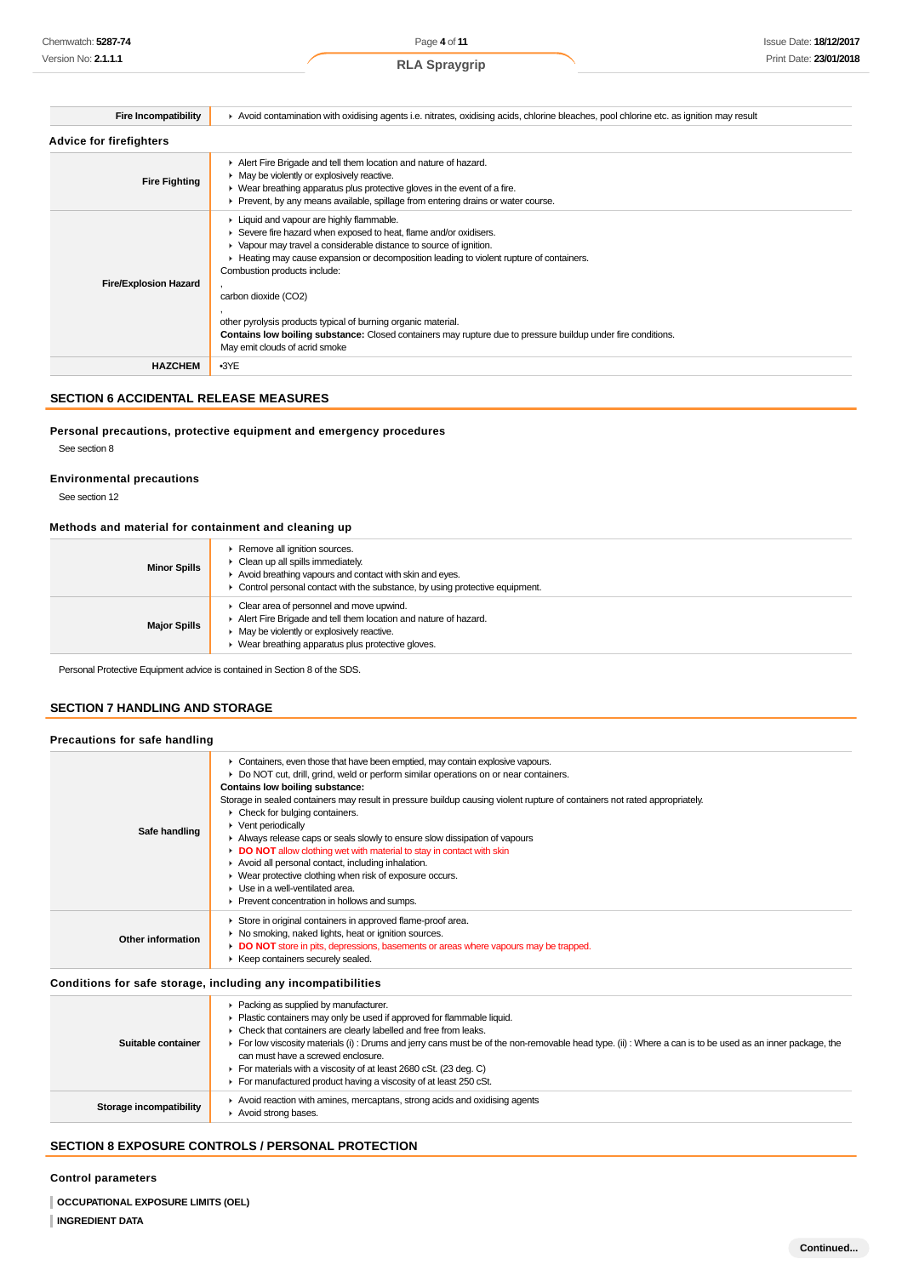|  | <b>RLA Spraygrip</b> |  |
|--|----------------------|--|
|--|----------------------|--|

| <b>Fire Incompatibility</b>    | Avoid contamination with oxidising agents i.e. nitrates, oxidising acids, chlorine bleaches, pool chlorine etc. as ignition may result                                                                                                                                                                                                                                                                                                                                                                                                                     |  |  |  |
|--------------------------------|------------------------------------------------------------------------------------------------------------------------------------------------------------------------------------------------------------------------------------------------------------------------------------------------------------------------------------------------------------------------------------------------------------------------------------------------------------------------------------------------------------------------------------------------------------|--|--|--|
| <b>Advice for firefighters</b> |                                                                                                                                                                                                                                                                                                                                                                                                                                                                                                                                                            |  |  |  |
| <b>Fire Fighting</b>           | Alert Fire Brigade and tell them location and nature of hazard.<br>• May be violently or explosively reactive.<br>• Wear breathing apparatus plus protective gloves in the event of a fire.<br>• Prevent, by any means available, spillage from entering drains or water course.                                                                                                                                                                                                                                                                           |  |  |  |
| <b>Fire/Explosion Hazard</b>   | ▶ Liquid and vapour are highly flammable.<br>Severe fire hazard when exposed to heat, flame and/or oxidisers.<br>• Vapour may travel a considerable distance to source of ignition.<br>► Heating may cause expansion or decomposition leading to violent rupture of containers.<br>Combustion products include:<br>carbon dioxide (CO2)<br>other pyrolysis products typical of burning organic material.<br>Contains low boiling substance: Closed containers may rupture due to pressure buildup under fire conditions.<br>May emit clouds of acrid smoke |  |  |  |
| <b>HAZCHEM</b>                 | $-3YE$                                                                                                                                                                                                                                                                                                                                                                                                                                                                                                                                                     |  |  |  |

# **SECTION 6 ACCIDENTAL RELEASE MEASURES**

# **Personal precautions, protective equipment and emergency procedures**

See section 8

**Environmental precautions**

See section 12

# **Methods and material for containment and cleaning up**

| <b>Minor Spills</b> | Remove all ignition sources.<br>• Clean up all spills immediately.<br>Avoid breathing vapours and contact with skin and eyes.<br>• Control personal contact with the substance, by using protective equipment.                       |
|---------------------|--------------------------------------------------------------------------------------------------------------------------------------------------------------------------------------------------------------------------------------|
| <b>Major Spills</b> | • Clear area of personnel and move upwind.<br>Alert Fire Brigade and tell them location and nature of hazard.<br>$\blacktriangleright$ May be violently or explosively reactive.<br>Wear breathing apparatus plus protective gloves. |

Personal Protective Equipment advice is contained in Section 8 of the SDS.

# **SECTION 7 HANDLING AND STORAGE**

| Safe handling     | • Containers, even those that have been emptied, may contain explosive vapours.<br>► Do NOT cut, drill, grind, weld or perform similar operations on or near containers.<br>Contains low boiling substance:<br>Storage in sealed containers may result in pressure buildup causing violent rupture of containers not rated appropriately.<br>$\triangleright$ Check for bulging containers.<br>$\blacktriangleright$ Vent periodically<br>Always release caps or seals slowly to ensure slow dissipation of vapours<br>DO NOT allow clothing wet with material to stay in contact with skin<br>Avoid all personal contact, including inhalation.<br>• Wear protective clothing when risk of exposure occurs.<br>$\blacktriangleright$ Use in a well-ventilated area.<br>Prevent concentration in hollows and sumps. |
|-------------------|---------------------------------------------------------------------------------------------------------------------------------------------------------------------------------------------------------------------------------------------------------------------------------------------------------------------------------------------------------------------------------------------------------------------------------------------------------------------------------------------------------------------------------------------------------------------------------------------------------------------------------------------------------------------------------------------------------------------------------------------------------------------------------------------------------------------|
| Other information | Store in original containers in approved flame-proof area.<br>• No smoking, naked lights, heat or ignition sources.<br>DO NOT store in pits, depressions, basements or areas where vapours may be trapped.<br>▶ Keep containers securely sealed.                                                                                                                                                                                                                                                                                                                                                                                                                                                                                                                                                                    |

# **Conditions for safe storage, including any incompatibilities**

| Suitable container      | • Packing as supplied by manufacturer.<br>Plastic containers may only be used if approved for flammable liquid.<br>• Check that containers are clearly labelled and free from leaks.<br>For low viscosity materials (i): Drums and jerry cans must be of the non-removable head type. (ii): Where a can is to be used as an inner package, the<br>can must have a screwed enclosure.<br>For materials with a viscosity of at least 2680 cSt. (23 deg. C)<br>For manufactured product having a viscosity of at least 250 cSt. |
|-------------------------|------------------------------------------------------------------------------------------------------------------------------------------------------------------------------------------------------------------------------------------------------------------------------------------------------------------------------------------------------------------------------------------------------------------------------------------------------------------------------------------------------------------------------|
| Storage incompatibility | Avoid reaction with amines, mercaptans, strong acids and oxidising agents<br>Avoid strong bases.                                                                                                                                                                                                                                                                                                                                                                                                                             |

# **SECTION 8 EXPOSURE CONTROLS / PERSONAL PROTECTION**

#### **Control parameters**

**OCCUPATIONAL EXPOSURE LIMITS (OEL)**

#### **INGREDIENT DATA**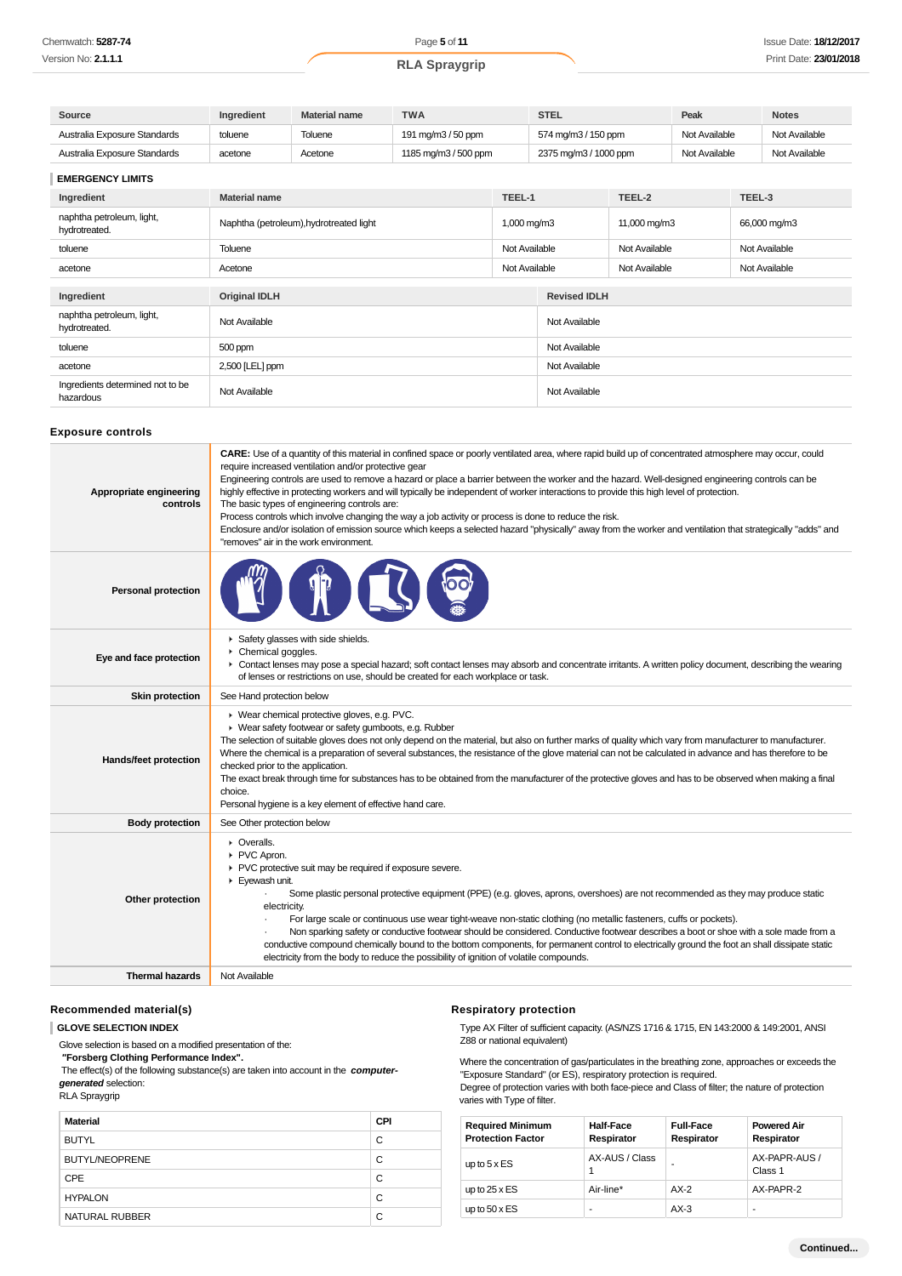| Source                       | Ingredient | <b>Material name</b> | <b>TWA</b>           | <b>STEL</b>           | Peak          | <b>Notes</b>  |
|------------------------------|------------|----------------------|----------------------|-----------------------|---------------|---------------|
| Australia Exposure Standards | toluene    | Toluene              | 191 mg/m3 / 50 ppm   | 574 mg/m3 / 150 ppm   | Not Available | Not Available |
| Australia Exposure Standards | acetone    | Acetone              | 1185 mg/m3 / 500 ppm | 2375 mg/m3 / 1000 ppm | Not Available | Not Available |

# **EMERGENCY LIMITS**

| Ingredient                                    | TEEL-1<br><b>Material name</b>                                     |               |                     | TEEL-2        | TEEL-3        |
|-----------------------------------------------|--------------------------------------------------------------------|---------------|---------------------|---------------|---------------|
| naphtha petroleum, light,<br>hydrotreated.    | Naphtha (petroleum), hydrotreated light<br>$1,000 \,\mathrm{mg/m}$ |               |                     | 11,000 mg/m3  | 66,000 mg/m3  |
| toluene                                       | Toluene                                                            | Not Available |                     | Not Available | Not Available |
| acetone                                       | Acetone                                                            | Not Available |                     | Not Available | Not Available |
|                                               |                                                                    |               |                     |               |               |
| Ingredient                                    | <b>Original IDLH</b>                                               |               | <b>Revised IDLH</b> |               |               |
| naphtha petroleum, light,<br>hydrotreated.    | Not Available                                                      |               | Not Available       |               |               |
| toluene                                       | 500 ppm                                                            |               | Not Available       |               |               |
| acetone                                       | 2,500 [LEL] ppm                                                    |               | Not Available       |               |               |
| Ingredients determined not to be<br>hazardous | Not Available                                                      |               | Not Available       |               |               |

# **Exposure controls**

| <b>Personal protection</b><br>Safety glasses with side shields.<br>Chemical goggles.<br>Eye and face protection<br>• Contact lenses may pose a special hazard; soft contact lenses may absorb and concentrate irritants. A written policy document, describing the wearing<br>of lenses or restrictions on use, should be created for each workplace or task.<br><b>Skin protection</b><br>See Hand protection below<br>▶ Wear chemical protective gloves, e.g. PVC.<br>• Wear safety footwear or safety gumboots, e.g. Rubber<br>The selection of suitable gloves does not only depend on the material, but also on further marks of quality which vary from manufacturer to manufacturer.<br>Where the chemical is a preparation of several substances, the resistance of the glove material can not be calculated in advance and has therefore to be<br>Hands/feet protection<br>checked prior to the application.<br>The exact break through time for substances has to be obtained from the manufacturer of the protective gloves and has to be observed when making a final<br>choice.<br>Personal hygiene is a key element of effective hand care.<br><b>Body protection</b><br>See Other protection below<br>• Overalls.<br>PVC Apron.<br>▶ PVC protective suit may be required if exposure severe.<br>Eyewash unit.<br>Some plastic personal protective equipment (PPE) (e.g. gloves, aprons, overshoes) are not recommended as they may produce static<br>Other protection<br>electricity.<br>For large scale or continuous use wear tight-weave non-static clothing (no metallic fasteners, cuffs or pockets).<br>Non sparking safety or conductive footwear should be considered. Conductive footwear describes a boot or shoe with a sole made from a<br>conductive compound chemically bound to the bottom components, for permanent control to electrically ground the foot an shall dissipate static<br>electricity from the body to reduce the possibility of ignition of volatile compounds.<br><b>Thermal hazards</b><br>Not Available | Appropriate engineering<br>controls | CARE: Use of a quantity of this material in confined space or poorly ventilated area, where rapid build up of concentrated atmosphere may occur, could<br>require increased ventilation and/or protective gear<br>Engineering controls are used to remove a hazard or place a barrier between the worker and the hazard. Well-designed engineering controls can be<br>highly effective in protecting workers and will typically be independent of worker interactions to provide this high level of protection.<br>The basic types of engineering controls are:<br>Process controls which involve changing the way a job activity or process is done to reduce the risk.<br>Enclosure and/or isolation of emission source which keeps a selected hazard "physically" away from the worker and ventilation that strategically "adds" and<br>"removes" air in the work environment. |
|-----------------------------------------------------------------------------------------------------------------------------------------------------------------------------------------------------------------------------------------------------------------------------------------------------------------------------------------------------------------------------------------------------------------------------------------------------------------------------------------------------------------------------------------------------------------------------------------------------------------------------------------------------------------------------------------------------------------------------------------------------------------------------------------------------------------------------------------------------------------------------------------------------------------------------------------------------------------------------------------------------------------------------------------------------------------------------------------------------------------------------------------------------------------------------------------------------------------------------------------------------------------------------------------------------------------------------------------------------------------------------------------------------------------------------------------------------------------------------------------------------------------------------------------------------------------------------------------------------------------------------------------------------------------------------------------------------------------------------------------------------------------------------------------------------------------------------------------------------------------------------------------------------------------------------------------------------------------------------------------------------------------------------------------------------------|-------------------------------------|-----------------------------------------------------------------------------------------------------------------------------------------------------------------------------------------------------------------------------------------------------------------------------------------------------------------------------------------------------------------------------------------------------------------------------------------------------------------------------------------------------------------------------------------------------------------------------------------------------------------------------------------------------------------------------------------------------------------------------------------------------------------------------------------------------------------------------------------------------------------------------------|
|                                                                                                                                                                                                                                                                                                                                                                                                                                                                                                                                                                                                                                                                                                                                                                                                                                                                                                                                                                                                                                                                                                                                                                                                                                                                                                                                                                                                                                                                                                                                                                                                                                                                                                                                                                                                                                                                                                                                                                                                                                                           |                                     |                                                                                                                                                                                                                                                                                                                                                                                                                                                                                                                                                                                                                                                                                                                                                                                                                                                                                   |
|                                                                                                                                                                                                                                                                                                                                                                                                                                                                                                                                                                                                                                                                                                                                                                                                                                                                                                                                                                                                                                                                                                                                                                                                                                                                                                                                                                                                                                                                                                                                                                                                                                                                                                                                                                                                                                                                                                                                                                                                                                                           |                                     |                                                                                                                                                                                                                                                                                                                                                                                                                                                                                                                                                                                                                                                                                                                                                                                                                                                                                   |
|                                                                                                                                                                                                                                                                                                                                                                                                                                                                                                                                                                                                                                                                                                                                                                                                                                                                                                                                                                                                                                                                                                                                                                                                                                                                                                                                                                                                                                                                                                                                                                                                                                                                                                                                                                                                                                                                                                                                                                                                                                                           |                                     |                                                                                                                                                                                                                                                                                                                                                                                                                                                                                                                                                                                                                                                                                                                                                                                                                                                                                   |
|                                                                                                                                                                                                                                                                                                                                                                                                                                                                                                                                                                                                                                                                                                                                                                                                                                                                                                                                                                                                                                                                                                                                                                                                                                                                                                                                                                                                                                                                                                                                                                                                                                                                                                                                                                                                                                                                                                                                                                                                                                                           |                                     |                                                                                                                                                                                                                                                                                                                                                                                                                                                                                                                                                                                                                                                                                                                                                                                                                                                                                   |
|                                                                                                                                                                                                                                                                                                                                                                                                                                                                                                                                                                                                                                                                                                                                                                                                                                                                                                                                                                                                                                                                                                                                                                                                                                                                                                                                                                                                                                                                                                                                                                                                                                                                                                                                                                                                                                                                                                                                                                                                                                                           |                                     |                                                                                                                                                                                                                                                                                                                                                                                                                                                                                                                                                                                                                                                                                                                                                                                                                                                                                   |
|                                                                                                                                                                                                                                                                                                                                                                                                                                                                                                                                                                                                                                                                                                                                                                                                                                                                                                                                                                                                                                                                                                                                                                                                                                                                                                                                                                                                                                                                                                                                                                                                                                                                                                                                                                                                                                                                                                                                                                                                                                                           |                                     |                                                                                                                                                                                                                                                                                                                                                                                                                                                                                                                                                                                                                                                                                                                                                                                                                                                                                   |
|                                                                                                                                                                                                                                                                                                                                                                                                                                                                                                                                                                                                                                                                                                                                                                                                                                                                                                                                                                                                                                                                                                                                                                                                                                                                                                                                                                                                                                                                                                                                                                                                                                                                                                                                                                                                                                                                                                                                                                                                                                                           |                                     |                                                                                                                                                                                                                                                                                                                                                                                                                                                                                                                                                                                                                                                                                                                                                                                                                                                                                   |

# **Recommended material(s)**

#### **GLOVE SELECTION INDEX**

Glove selection is based on a modified presentation of the:

 **"Forsberg Clothing Performance Index".**

 The effect(s) of the following substance(s) are taken into account in the **computergenerated** selection:

RLA Spraygrip

| <b>Material</b>       | <b>CPI</b> |
|-----------------------|------------|
| <b>BUTYL</b>          | C          |
| <b>BUTYL/NEOPRENE</b> | С          |
| <b>CPE</b>            | C          |
| <b>HYPALON</b>        | С          |
| NATURAL RUBBER        | C          |

# **Respiratory protection**

Type AX Filter of sufficient capacity. (AS/NZS 1716 & 1715, EN 143:2000 & 149:2001, ANSI Z88 or national equivalent)

Where the concentration of gas/particulates in the breathing zone, approaches or exceeds the "Exposure Standard" (or ES), respiratory protection is required. Degree of protection varies with both face-piece and Class of filter; the nature of protection

varies with Type of filter.

| <b>Required Minimum</b><br><b>Protection Factor</b> | <b>Half-Face</b><br>Respirator | <b>Full-Face</b><br>Respirator | <b>Powered Air</b><br>Respirator |
|-----------------------------------------------------|--------------------------------|--------------------------------|----------------------------------|
| up to $5 \times ES$                                 | AX-AUS / Class                 |                                | AX-PAPR-AUS /<br>Class 1         |
| up to $25 \times ES$                                | Air-line*                      | $AX-2$                         | AX-PAPR-2                        |
| up to $50 \times ES$                                | ۰                              | $AX-3$                         |                                  |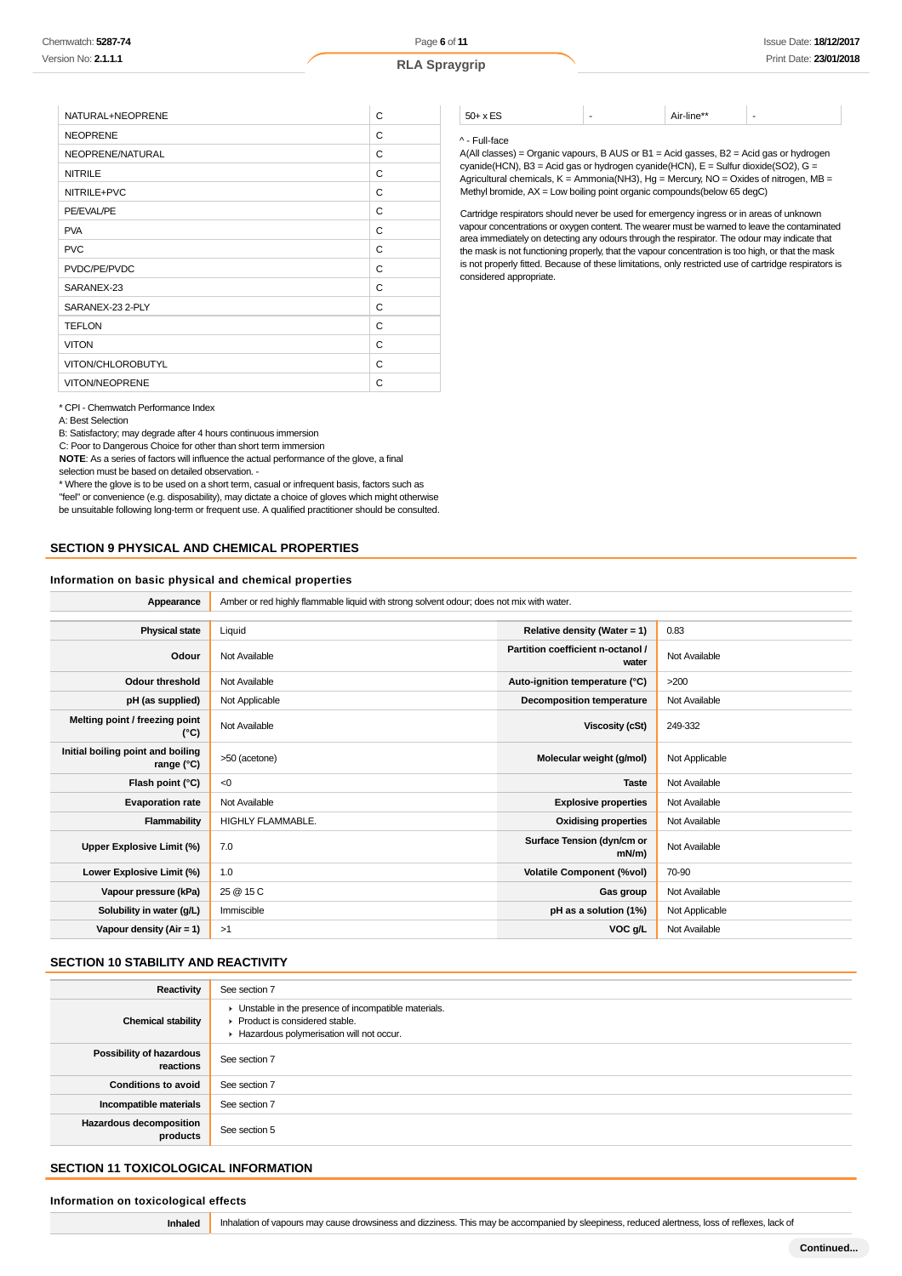| NATURAL+NEOPRENE      | C |
|-----------------------|---|
| <b>NEOPRENE</b>       | C |
| NEOPRENE/NATURAL      | C |
| <b>NITRILE</b>        | C |
| NITRILE+PVC           | C |
| PE/EVAL/PE            | C |
| <b>PVA</b>            | C |
| <b>PVC</b>            | C |
| PVDC/PE/PVDC          | C |
| SARANEX-23            | C |
| SARANEX-23 2-PLY      | C |
| <b>TEFLON</b>         | C |
| <b>VITON</b>          | C |
| VITON/CHLOROBUTYL     | C |
| <b>VITON/NEOPRENE</b> | C |

\* CPI - Chemwatch Performance Index

A: Best Selection

B: Satisfactory; may degrade after 4 hours continuous immersion

C: Poor to Dangerous Choice for other than short term immersion

**NOTE**: As a series of factors will influence the actual performance of the glove, a final selection must be based on detailed observation. -

\* Where the glove is to be used on a short term, casual or infrequent basis, factors such as "feel" or convenience (e.g. disposability), may dictate a choice of gloves which might otherwise be unsuitable following long-term or frequent use. A qualified practitioner should be consulted.

# **SECTION 9 PHYSICAL AND CHEMICAL PROPERTIES**

#### **Information on basic physical and chemical properties**

Appearance **Amber or red highly flammable liquid with strong solvent odour; does not mix with water.** 

| <b>Physical state</b>                             | Liquid            | Relative density (Water = 1)               | 0.83           |
|---------------------------------------------------|-------------------|--------------------------------------------|----------------|
| Odour                                             | Not Available     | Partition coefficient n-octanol /<br>water | Not Available  |
| <b>Odour threshold</b>                            | Not Available     | Auto-ignition temperature (°C)             | >200           |
| pH (as supplied)                                  | Not Applicable    | <b>Decomposition temperature</b>           | Not Available  |
| Melting point / freezing point<br>(°C)            | Not Available     | Viscosity (cSt)                            | 249-332        |
| Initial boiling point and boiling<br>range $(°C)$ | >50 (acetone)     | Molecular weight (g/mol)                   | Not Applicable |
| Flash point (°C)                                  | < 0               | <b>Taste</b>                               | Not Available  |
| <b>Evaporation rate</b>                           | Not Available     | <b>Explosive properties</b>                | Not Available  |
| Flammability                                      | HIGHLY FLAMMABLE. | <b>Oxidising properties</b>                | Not Available  |
| Upper Explosive Limit (%)                         | 7.0               | Surface Tension (dyn/cm or<br>$mN/m$ )     | Not Available  |
| Lower Explosive Limit (%)                         | 1.0               | <b>Volatile Component (%vol)</b>           | 70-90          |
| Vapour pressure (kPa)                             | 25 @ 15 C         | Gas group                                  | Not Available  |
| Solubility in water (g/L)                         | Immiscible        | pH as a solution (1%)                      | Not Applicable |
| Vapour density $(Air = 1)$                        | >1                | VOC g/L                                    | Not Available  |
|                                                   |                   |                                            |                |

# **SECTION 10 STABILITY AND REACTIVITY**

| Reactivity                                 | See section 7                                                                                                                        |
|--------------------------------------------|--------------------------------------------------------------------------------------------------------------------------------------|
| <b>Chemical stability</b>                  | • Unstable in the presence of incompatible materials.<br>▶ Product is considered stable.<br>Hazardous polymerisation will not occur. |
| Possibility of hazardous<br>reactions      | See section 7                                                                                                                        |
| <b>Conditions to avoid</b>                 | See section 7                                                                                                                        |
| Incompatible materials                     | See section 7                                                                                                                        |
| <b>Hazardous decomposition</b><br>products | See section 5                                                                                                                        |

# **SECTION 11 TOXICOLOGICAL INFORMATION**

#### **Information on toxicological effects**

**Inhaled** Inhalation of vapours may cause drowsiness and dizziness. This may be accompanied by sleepiness, reduced alertness, loss of reflexes, lack of

# $50+x$  ES  $\qquad \qquad$  - Air-line\*\*

#### ^ - Full-face

A(All classes) = Organic vapours, B AUS or B1 = Acid gasses, B2 = Acid gas or hydrogen cyanide(HCN), B3 = Acid gas or hydrogen cyanide(HCN), E = Sulfur dioxide(SO2), G = Agricultural chemicals,  $K =$  Ammonia(NH3), Hg = Mercury, NO = Oxides of nitrogen, MB = Methyl bromide, AX = Low boiling point organic compounds(below 65 degC)

Cartridge respirators should never be used for emergency ingress or in areas of unknown vapour concentrations or oxygen content. The wearer must be warned to leave the contaminated area immediately on detecting any odours through the respirator. The odour may indicate that the mask is not functioning properly, that the vapour concentration is too high, or that the mask is not properly fitted. Because of these limitations, only restricted use of cartridge respirators is considered appropriate.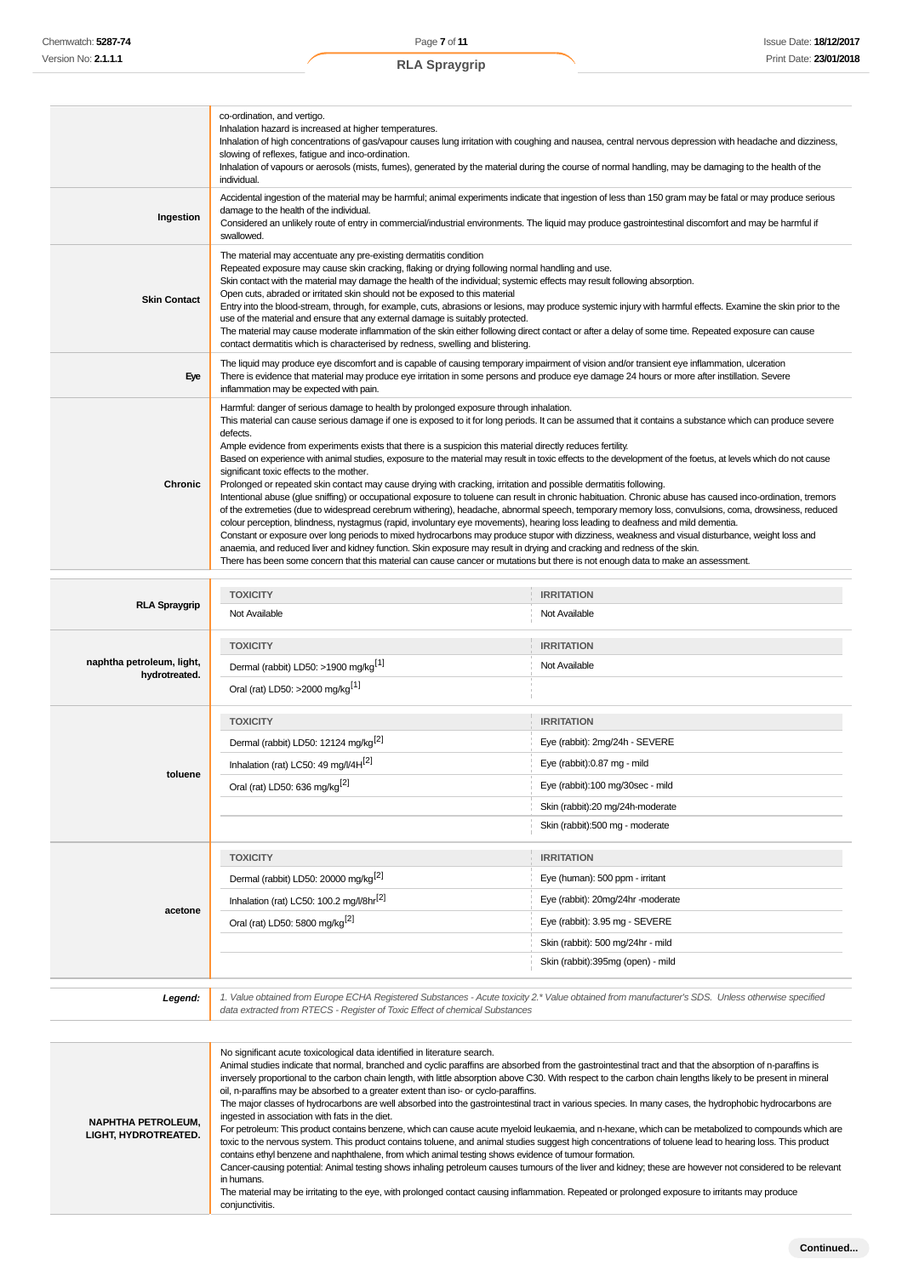|                     | co-ordination, and vertigo.<br>Inhalation hazard is increased at higher temperatures.<br>Inhalation of high concentrations of gas/vapour causes lung irritation with coughing and nausea, central nervous depression with headache and dizziness,<br>slowing of reflexes, fatigue and inco-ordination.<br>Inhalation of vapours or aerosols (mists, fumes), generated by the material during the course of normal handling, may be damaging to the health of the<br>individual.                                                                                                                                                                                                                                                                                                                                                                                                                                                                                                                                                                                                                                                                                                                                                                                                                                                                                                                                                                                                                                                                                                         |
|---------------------|-----------------------------------------------------------------------------------------------------------------------------------------------------------------------------------------------------------------------------------------------------------------------------------------------------------------------------------------------------------------------------------------------------------------------------------------------------------------------------------------------------------------------------------------------------------------------------------------------------------------------------------------------------------------------------------------------------------------------------------------------------------------------------------------------------------------------------------------------------------------------------------------------------------------------------------------------------------------------------------------------------------------------------------------------------------------------------------------------------------------------------------------------------------------------------------------------------------------------------------------------------------------------------------------------------------------------------------------------------------------------------------------------------------------------------------------------------------------------------------------------------------------------------------------------------------------------------------------|
| Ingestion           | Accidental ingestion of the material may be harmful; animal experiments indicate that ingestion of less than 150 gram may be fatal or may produce serious<br>damage to the health of the individual.<br>Considered an unlikely route of entry in commercial/industrial environments. The liquid may produce gastrointestinal discomfort and may be harmful if<br>swallowed.                                                                                                                                                                                                                                                                                                                                                                                                                                                                                                                                                                                                                                                                                                                                                                                                                                                                                                                                                                                                                                                                                                                                                                                                             |
| <b>Skin Contact</b> | The material may accentuate any pre-existing dermatitis condition<br>Repeated exposure may cause skin cracking, flaking or drying following normal handling and use.<br>Skin contact with the material may damage the health of the individual; systemic effects may result following absorption.<br>Open cuts, abraded or irritated skin should not be exposed to this material<br>Entry into the blood-stream, through, for example, cuts, abrasions or lesions, may produce systemic injury with harmful effects. Examine the skin prior to the<br>use of the material and ensure that any external damage is suitably protected.<br>The material may cause moderate inflammation of the skin either following direct contact or after a delay of some time. Repeated exposure can cause<br>contact dermatitis which is characterised by redness, swelling and blistering.                                                                                                                                                                                                                                                                                                                                                                                                                                                                                                                                                                                                                                                                                                           |
| Eye                 | The liquid may produce eye discomfort and is capable of causing temporary impairment of vision and/or transient eye inflammation, ulceration<br>There is evidence that material may produce eye irritation in some persons and produce eye damage 24 hours or more after instillation. Severe<br>inflammation may be expected with pain.                                                                                                                                                                                                                                                                                                                                                                                                                                                                                                                                                                                                                                                                                                                                                                                                                                                                                                                                                                                                                                                                                                                                                                                                                                                |
| Chronic             | Harmful: danger of serious damage to health by prolonged exposure through inhalation.<br>This material can cause serious damage if one is exposed to it for long periods. It can be assumed that it contains a substance which can produce severe<br>defects.<br>Ample evidence from experiments exists that there is a suspicion this material directly reduces fertility.<br>Based on experience with animal studies, exposure to the material may result in toxic effects to the development of the foetus, at levels which do not cause<br>significant toxic effects to the mother.<br>Prolonged or repeated skin contact may cause drying with cracking, irritation and possible dermatitis following.<br>Intentional abuse (glue sniffing) or occupational exposure to toluene can result in chronic habituation. Chronic abuse has caused inco-ordination, tremors<br>of the extremeties (due to widespread cerebrum withering), headache, abnormal speech, temporary memory loss, convulsions, coma, drowsiness, reduced<br>colour perception, blindness, nystagmus (rapid, involuntary eye movements), hearing loss leading to deafness and mild dementia.<br>Constant or exposure over long periods to mixed hydrocarbons may produce stupor with dizziness, weakness and visual disturbance, weight loss and<br>anaemia, and reduced liver and kidney function. Skin exposure may result in drying and cracking and redness of the skin.<br>There has been some concern that this material can cause cancer or mutations but there is not enough data to make an assessment. |

| <b>RLA Spraygrip</b>                              | <b>TOXICITY</b>                                                                                                                                                                                                                                                                                                           | <b>IRRITATION</b>                                                                                                                                                                                                                                                                                                                                                                                                                                                                                                                                                                                                                                                                                                                                                                                         |
|---------------------------------------------------|---------------------------------------------------------------------------------------------------------------------------------------------------------------------------------------------------------------------------------------------------------------------------------------------------------------------------|-----------------------------------------------------------------------------------------------------------------------------------------------------------------------------------------------------------------------------------------------------------------------------------------------------------------------------------------------------------------------------------------------------------------------------------------------------------------------------------------------------------------------------------------------------------------------------------------------------------------------------------------------------------------------------------------------------------------------------------------------------------------------------------------------------------|
|                                                   | Not Available                                                                                                                                                                                                                                                                                                             | Not Available                                                                                                                                                                                                                                                                                                                                                                                                                                                                                                                                                                                                                                                                                                                                                                                             |
|                                                   | <b>TOXICITY</b>                                                                                                                                                                                                                                                                                                           | <b>IRRITATION</b>                                                                                                                                                                                                                                                                                                                                                                                                                                                                                                                                                                                                                                                                                                                                                                                         |
| naphtha petroleum, light,<br>hydrotreated.        | Dermal (rabbit) LD50: >1900 mg/kg <sup>[1]</sup>                                                                                                                                                                                                                                                                          | Not Available                                                                                                                                                                                                                                                                                                                                                                                                                                                                                                                                                                                                                                                                                                                                                                                             |
|                                                   | Oral (rat) LD50: >2000 mg/kg <sup>[1]</sup>                                                                                                                                                                                                                                                                               |                                                                                                                                                                                                                                                                                                                                                                                                                                                                                                                                                                                                                                                                                                                                                                                                           |
|                                                   | <b>TOXICITY</b>                                                                                                                                                                                                                                                                                                           | <b>IRRITATION</b>                                                                                                                                                                                                                                                                                                                                                                                                                                                                                                                                                                                                                                                                                                                                                                                         |
|                                                   | Dermal (rabbit) LD50: 12124 mg/kg <sup>[2]</sup>                                                                                                                                                                                                                                                                          | Eye (rabbit): 2mg/24h - SEVERE                                                                                                                                                                                                                                                                                                                                                                                                                                                                                                                                                                                                                                                                                                                                                                            |
| toluene                                           | Inhalation (rat) LC50: 49 mg/l/4H[2]                                                                                                                                                                                                                                                                                      | Eye (rabbit):0.87 mg - mild                                                                                                                                                                                                                                                                                                                                                                                                                                                                                                                                                                                                                                                                                                                                                                               |
|                                                   | Oral (rat) LD50: 636 mg/kg <sup>[2]</sup>                                                                                                                                                                                                                                                                                 | Eye (rabbit):100 mg/30sec - mild                                                                                                                                                                                                                                                                                                                                                                                                                                                                                                                                                                                                                                                                                                                                                                          |
|                                                   |                                                                                                                                                                                                                                                                                                                           | Skin (rabbit):20 mg/24h-moderate                                                                                                                                                                                                                                                                                                                                                                                                                                                                                                                                                                                                                                                                                                                                                                          |
|                                                   |                                                                                                                                                                                                                                                                                                                           | Skin (rabbit):500 mg - moderate                                                                                                                                                                                                                                                                                                                                                                                                                                                                                                                                                                                                                                                                                                                                                                           |
|                                                   | <b>TOXICITY</b>                                                                                                                                                                                                                                                                                                           | <b>IRRITATION</b>                                                                                                                                                                                                                                                                                                                                                                                                                                                                                                                                                                                                                                                                                                                                                                                         |
|                                                   | Dermal (rabbit) LD50: 20000 mg/kg <sup>[2]</sup>                                                                                                                                                                                                                                                                          | Eye (human): 500 ppm - irritant                                                                                                                                                                                                                                                                                                                                                                                                                                                                                                                                                                                                                                                                                                                                                                           |
| acetone                                           | Inhalation (rat) LC50: 100.2 mg/l/8hr <sup>[2]</sup>                                                                                                                                                                                                                                                                      | Eye (rabbit): 20mg/24hr -moderate                                                                                                                                                                                                                                                                                                                                                                                                                                                                                                                                                                                                                                                                                                                                                                         |
|                                                   | Oral (rat) LD50: 5800 mg/kg <sup>[2]</sup>                                                                                                                                                                                                                                                                                | Eye (rabbit): 3.95 mg - SEVERE                                                                                                                                                                                                                                                                                                                                                                                                                                                                                                                                                                                                                                                                                                                                                                            |
|                                                   |                                                                                                                                                                                                                                                                                                                           | Skin (rabbit): 500 mg/24hr - mild                                                                                                                                                                                                                                                                                                                                                                                                                                                                                                                                                                                                                                                                                                                                                                         |
|                                                   |                                                                                                                                                                                                                                                                                                                           | Skin (rabbit):395mg (open) - mild                                                                                                                                                                                                                                                                                                                                                                                                                                                                                                                                                                                                                                                                                                                                                                         |
| Legend:                                           | 1. Value obtained from Europe ECHA Registered Substances - Acute toxicity 2.* Value obtained from manufacturer's SDS. Unless otherwise specified<br>data extracted from RTECS - Register of Toxic Effect of chemical Substances                                                                                           |                                                                                                                                                                                                                                                                                                                                                                                                                                                                                                                                                                                                                                                                                                                                                                                                           |
|                                                   |                                                                                                                                                                                                                                                                                                                           |                                                                                                                                                                                                                                                                                                                                                                                                                                                                                                                                                                                                                                                                                                                                                                                                           |
| <b>NAPHTHA PETROLEUM.</b><br>LIGHT, HYDROTREATED. | No significant acute toxicological data identified in literature search.<br>oil, n-paraffins may be absorbed to a greater extent than iso- or cyclo-paraffins.<br>ingested in association with fats in the diet.<br>contains ethyl benzene and naphthalene, from which animal testing shows evidence of tumour formation. | Animal studies indicate that normal, branched and cyclic paraffins are absorbed from the gastrointestinal tract and that the absorption of n-paraffins is<br>inversely proportional to the carbon chain length, with little absorption above C30. With respect to the carbon chain lengths likely to be present in mineral<br>The major classes of hydrocarbons are well absorbed into the gastrointestinal tract in various species. In many cases, the hydrophobic hydrocarbons are<br>For petroleum: This product contains benzene, which can cause acute myeloid leukaemia, and n-hexane, which can be metabolized to compounds which are<br>toxic to the nervous system. This product contains toluene, and animal studies suggest high concentrations of toluene lead to hearing loss. This product |

Cancer-causing potential: Animal testing shows inhaling petroleum causes tumours of the liver and kidney; these are however not considered to be relevant in humans.

The material may be irritating to the eye, with prolonged contact causing inflammation. Repeated or prolonged exposure to irritants may produce conjunctivitis.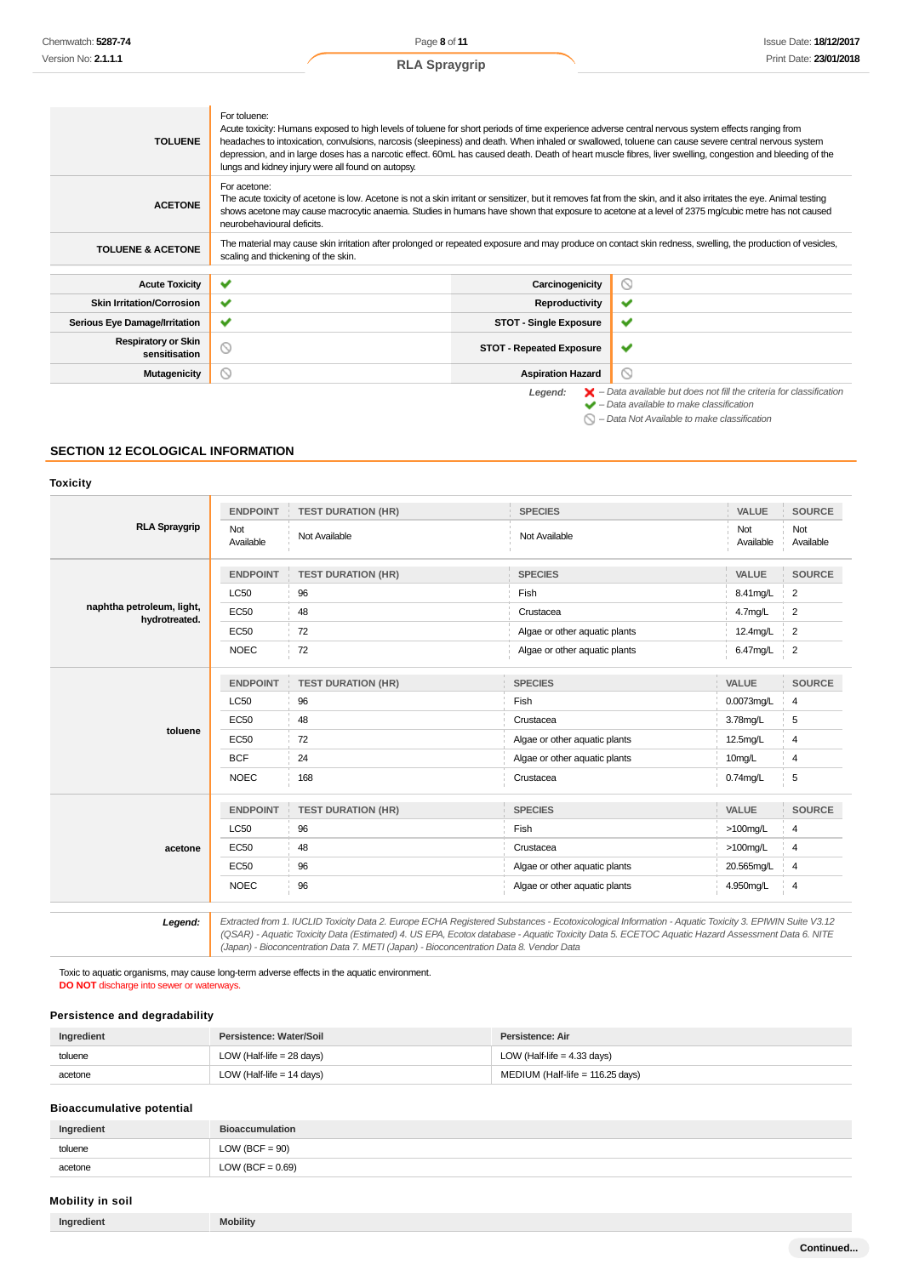| <b>TOLUENE</b>                              | For toluene:<br>Acute toxicity: Humans exposed to high levels of toluene for short periods of time experience adverse central nervous system effects ranging from<br>headaches to intoxication, convulsions, narcosis (sleepiness) and death. When inhaled or swallowed, toluene can cause severe central nervous system<br>depression, and in large doses has a narcotic effect. 60mL has caused death. Death of heart muscle fibres, liver swelling, congestion and bleeding of the<br>lungs and kidney injury were all found on autopsy. |                                 |                                                                                                                                                                                                                     |
|---------------------------------------------|---------------------------------------------------------------------------------------------------------------------------------------------------------------------------------------------------------------------------------------------------------------------------------------------------------------------------------------------------------------------------------------------------------------------------------------------------------------------------------------------------------------------------------------------|---------------------------------|---------------------------------------------------------------------------------------------------------------------------------------------------------------------------------------------------------------------|
| <b>ACETONE</b>                              | For acetone:<br>The acute toxicity of acetone is low. Acetone is not a skin irritant or sensitizer, but it removes fat from the skin, and it also irritates the eye. Animal testing<br>shows acetone may cause macrocytic anaemia. Studies in humans have shown that exposure to acetone at a level of 2375 mg/cubic metre has not caused<br>neurobehavioural deficits.                                                                                                                                                                     |                                 |                                                                                                                                                                                                                     |
| <b>TOLUENE &amp; ACETONE</b>                | The material may cause skin irritation after prolonged or repeated exposure and may produce on contact skin redness, swelling, the production of vesicles,<br>scaling and thickening of the skin.                                                                                                                                                                                                                                                                                                                                           |                                 |                                                                                                                                                                                                                     |
| <b>Acute Toxicity</b>                       | $\checkmark$                                                                                                                                                                                                                                                                                                                                                                                                                                                                                                                                | Carcinogenicity                 | 0                                                                                                                                                                                                                   |
| <b>Skin Irritation/Corrosion</b>            | ✔                                                                                                                                                                                                                                                                                                                                                                                                                                                                                                                                           | Reproductivity                  | ✔                                                                                                                                                                                                                   |
| <b>Serious Eye Damage/Irritation</b>        | ✔                                                                                                                                                                                                                                                                                                                                                                                                                                                                                                                                           | <b>STOT - Single Exposure</b>   | ✔                                                                                                                                                                                                                   |
| <b>Respiratory or Skin</b><br>sensitisation | $\circ$                                                                                                                                                                                                                                                                                                                                                                                                                                                                                                                                     | <b>STOT - Repeated Exposure</b> | $\checkmark$                                                                                                                                                                                                        |
| <b>Mutagenicity</b>                         | $\circledcirc$                                                                                                                                                                                                                                                                                                                                                                                                                                                                                                                              | <b>Aspiration Hazard</b>        | Q                                                                                                                                                                                                                   |
|                                             |                                                                                                                                                                                                                                                                                                                                                                                                                                                                                                                                             | Legend:                         | $\blacktriangleright$ - Data available but does not fill the criteria for classification<br>$\blacktriangleright$ - Data available to make classification<br>$\bigcirc$ - Data Not Available to make classification |

#### **SECTION 12 ECOLOGICAL INFORMATION**

# **Toxicity**

|                                            | <b>ENDPOINT</b>  | <b>TEST DURATION (HR)</b> | <b>SPECIES</b>                | VALUE            | <b>SOURCE</b>    |
|--------------------------------------------|------------------|---------------------------|-------------------------------|------------------|------------------|
| <b>RLA Spraygrip</b>                       | Not<br>Available | Not Available             | Not Available                 | Not<br>Available | Not<br>Available |
|                                            | <b>ENDPOINT</b>  | <b>TEST DURATION (HR)</b> | <b>SPECIES</b>                | VALUE            | <b>SOURCE</b>    |
|                                            | <b>LC50</b>      | 96                        | Fish                          | 8.41mg/L         | $\overline{2}$   |
| naphtha petroleum, light,<br>hydrotreated. | <b>EC50</b>      | 48                        | Crustacea                     | 4.7mg/L          | $\overline{2}$   |
|                                            | <b>EC50</b>      | 72                        | Algae or other aquatic plants | 12.4mg/L         | $\overline{2}$   |
|                                            | <b>NOEC</b>      | 72                        | Algae or other aquatic plants | 6.47mg/L         | $\overline{2}$   |
|                                            | <b>ENDPOINT</b>  | <b>TEST DURATION (HR)</b> | <b>SPECIES</b>                | VALUE            | <b>SOURCE</b>    |
|                                            | <b>LC50</b>      | 96                        | Fish                          | 0.0073mg/L       | 4                |
|                                            | <b>EC50</b>      | 48                        | Crustacea                     | 3.78mg/L         | 5                |
| toluene                                    | EC50             | 72                        | Algae or other aquatic plants | 12.5mg/L         | 4                |
|                                            | <b>BCF</b>       | 24                        | Algae or other aquatic plants | 10mg/L           | 4                |
|                                            | <b>NOEC</b>      | 168                       | Crustacea                     | $0.74$ mg/L      | 5                |
|                                            | <b>ENDPOINT</b>  | <b>TEST DURATION (HR)</b> | <b>SPECIES</b>                | VALUE            | <b>SOURCE</b>    |
|                                            | <b>LC50</b>      | 96                        | Fish                          | $>100$ mg/L      | 4                |
| acetone                                    | <b>EC50</b>      | 48                        | Crustacea                     | $>100$ mg/L      | $\overline{4}$   |
|                                            | <b>EC50</b>      | 96                        | Algae or other aquatic plants | 20.565mg/L       | 4                |
|                                            | <b>NOEC</b>      | 96                        | Algae or other aquatic plants | 4.950mg/L        | 4                |

13.12 Extracted from 1. IUCLID Toxicity Data 2. Europe ECHA Registered Substances - Ecotoxicological Information - Aquatic Toxicity 3. EPIWIN Suite V3.12<br>QSAR) - Aquatic Toxicity Data (Estimated) 4. US EPA, Ecotox database (Japan) - Bioconcentration Data 7. METI (Japan) - Bioconcentration Data 8. Vendor Data

Toxic to aquatic organisms, may cause long-term adverse effects in the aquatic environment. **DO NOT** discharge into sewer or waterways.

# **Persistence and degradability**

| Ingredient | Persistence: Water/Soil              | Persistence: Air                 |
|------------|--------------------------------------|----------------------------------|
| toluene    | LOW (Half-life = $28 \text{ days}$ ) | LOW (Half-life = $4.33$ days)    |
| acetone    | LOW (Half-life $= 14$ days)          | MEDIUM (Half-life = 116.25 days) |

# **Bioaccumulative potential**

| Ingredient | <b>Bioaccumulation</b> |
|------------|------------------------|
| toluene    | $LOW (BCF = 90)$       |
| acetone    | LOW (BCF = $0.69$ )    |

# **Mobility in soil**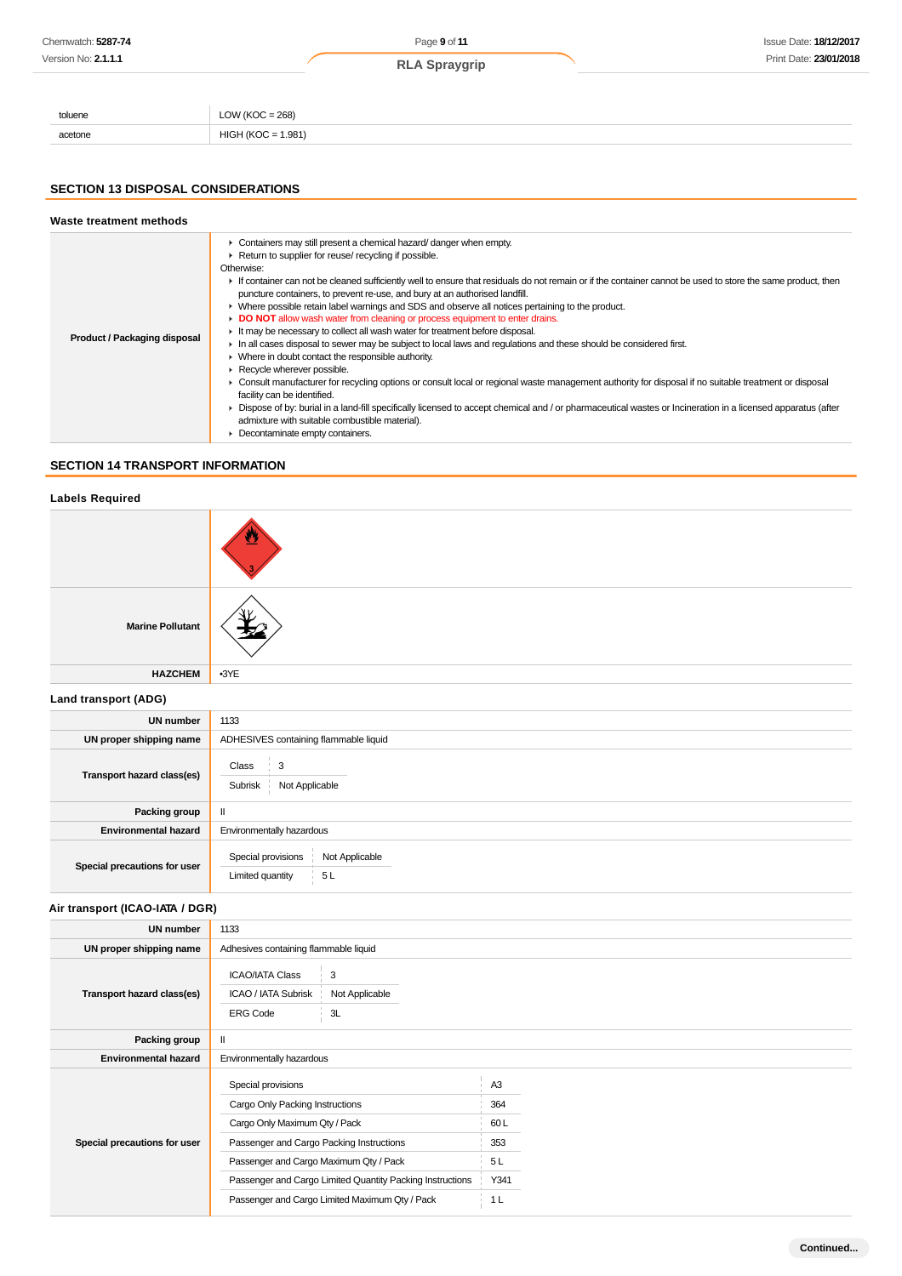| Chemwatch: 5287-74  |                      | Page 9 of 11         | <b>Issue Date: 18/12/2017</b> |  |
|---------------------|----------------------|----------------------|-------------------------------|--|
| Version No: 2.1.1.1 |                      | <b>RLA Spraygrip</b> | Print Date: 23/01/2018        |  |
|                     |                      |                      |                               |  |
|                     |                      |                      |                               |  |
| toluene             | LOW ( $KOC = 268$ )  |                      |                               |  |
| acetone             | $HIGH (KOC = 1.981)$ |                      |                               |  |

# **SECTION 13 DISPOSAL CONSIDERATIONS**

#### **Waste treatment methods Product / Packaging disposal** Containers may still present a chemical hazard/ danger when empty. ▶ Return to supplier for reuse/ recycling if possible. Otherwise: F If container can not be cleaned sufficiently well to ensure that residuals do not remain or if the container cannot be used to store the same product, then puncture containers, to prevent re-use, and bury at an authorised landfill. Where possible retain label warnings and SDS and observe all notices pertaining to the product. **DO NOT** allow wash water from cleaning or process equipment to enter drains. It may be necessary to collect all wash water for treatment before disposal. In all cases disposal to sewer may be subject to local laws and regulations and these should be considered first. Where in doubt contact the responsible authority. Recycle wherever possible. Consult manufacturer for recycling options or consult local or regional waste management authority for disposal if no suitable treatment or disposal facility can be identified. ▶ Dispose of by: burial in a land-fill specifically licensed to accept chemical and / or pharmaceutical wastes or Incineration in a licensed apparatus (after admixture with suitable combustible material). **Decontaminate empty containers.**

# **SECTION 14 TRANSPORT INFORMATION**

# **Labels Required**

| <b>Marine Pollutant</b>      |                                                                                                            |  |  |
|------------------------------|------------------------------------------------------------------------------------------------------------|--|--|
| <b>HAZCHEM</b>               | $-3YE$                                                                                                     |  |  |
| Land transport (ADG)         |                                                                                                            |  |  |
| <b>UN number</b>             | 1133                                                                                                       |  |  |
| UN proper shipping name      | ADHESIVES containing flammable liquid                                                                      |  |  |
| Transport hazard class(es)   | Class<br>$\begin{array}{array}{c} \begin{array}{cc} \end{array} & 3 \end{array}$<br>Subrisk Not Applicable |  |  |
| Packing group                | $\mathbf{II}$                                                                                              |  |  |
| <b>Environmental hazard</b>  | Environmentally hazardous                                                                                  |  |  |
| Special precautions for user | Special provisions<br>Not Applicable<br>5L<br>Limited quantity                                             |  |  |

**Air transport (ICAO-IATA / DGR)**

| UN number                    | 1133                                                                                          |                                       |                |  |
|------------------------------|-----------------------------------------------------------------------------------------------|---------------------------------------|----------------|--|
| UN proper shipping name      |                                                                                               | Adhesives containing flammable liquid |                |  |
| Transport hazard class(es)   | <b>ICAO/IATA Class</b><br>3<br>ICAO / IATA Subrisk<br>Not Applicable<br><b>ERG Code</b><br>3L |                                       |                |  |
| Packing group                | Ш                                                                                             |                                       |                |  |
| <b>Environmental hazard</b>  | Environmentally hazardous                                                                     |                                       |                |  |
|                              | Special provisions                                                                            |                                       | A <sub>3</sub> |  |
|                              | Cargo Only Packing Instructions                                                               |                                       | 364            |  |
| Special precautions for user | Cargo Only Maximum Qty / Pack                                                                 |                                       | 60L            |  |
|                              | Passenger and Cargo Packing Instructions                                                      |                                       | 353            |  |
|                              | Passenger and Cargo Maximum Qty / Pack                                                        |                                       | 5L             |  |
|                              | Passenger and Cargo Limited Quantity Packing Instructions                                     |                                       | Y341           |  |
|                              | Passenger and Cargo Limited Maximum Qty / Pack                                                |                                       | 1 L            |  |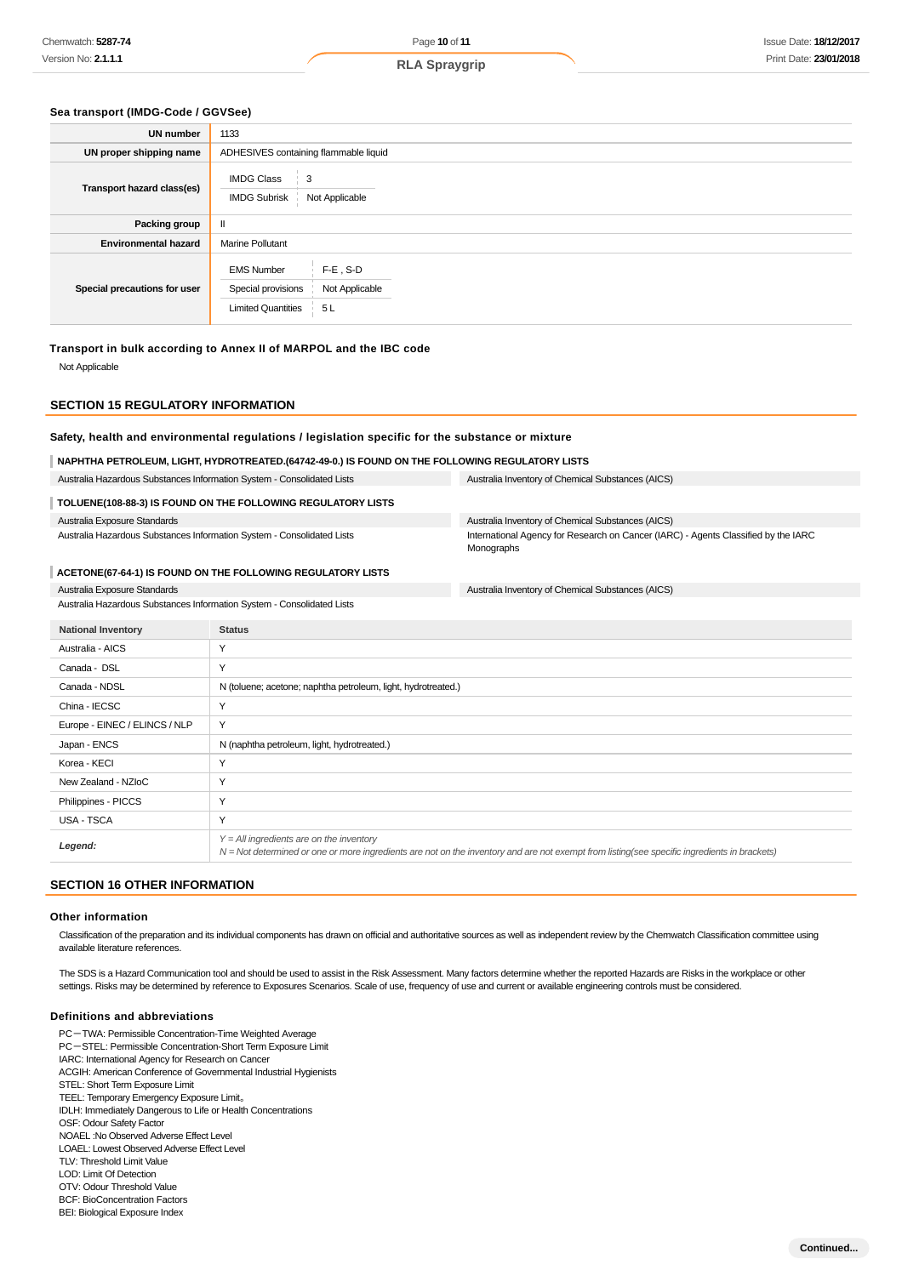# **Sea transport (IMDG-Code / GGVSee)**

| <b>UN number</b>             | 1133                                                                                                         |  |
|------------------------------|--------------------------------------------------------------------------------------------------------------|--|
| UN proper shipping name      | ADHESIVES containing flammable liquid                                                                        |  |
| Transport hazard class(es)   | <b>IMDG Class</b><br>3<br>Not Applicable<br><b>IMDG Subrisk</b>                                              |  |
| Packing group                | $\mathbf{I}$                                                                                                 |  |
| <b>Environmental hazard</b>  | <b>Marine Pollutant</b>                                                                                      |  |
| Special precautions for user | $F-E$ , S-D<br><b>EMS Number</b><br>Special provisions<br>Not Applicable<br><b>Limited Quantities</b><br>5 L |  |

#### **Transport in bulk according to Annex II of MARPOL and the IBC code**

Not Applicable

#### **SECTION 15 REGULATORY INFORMATION**

# **Safety, health and environmental regulations / legislation specific for the substance or mixture**

#### **NAPHTHA PETROLEUM, LIGHT, HYDROTREATED.(64742-49-0.) IS FOUND ON THE FOLLOWING REGULATORY LISTS**

Australia Hazardous Substances Information System - Consolidated Lists Australia Inventory of Chemical Substances (AICS) **TOLUENE(108-88-3) IS FOUND ON THE FOLLOWING REGULATORY LISTS** Australia Exposure Standards Australia Inventory of Chemical Substances (AICS) International Agency for Research on Cancer (IARC) - Agents Classified by the IARC

Australia Hazardous Substances Information System - Consolidated Lists

#### **ACETONE(67-64-1) IS FOUND ON THE FOLLOWING REGULATORY LISTS**

Australia Exposure Standards

Australia Inventory of Chemical Substances (AICS)

Monographs

| Australia Hazardous Substances Information System - Consolidated Lists |
|------------------------------------------------------------------------|
|------------------------------------------------------------------------|

| <b>National Inventory</b>     | <b>Status</b>                                                                                                                                                                                |
|-------------------------------|----------------------------------------------------------------------------------------------------------------------------------------------------------------------------------------------|
| Australia - AICS              | Y                                                                                                                                                                                            |
| Canada - DSL                  | Y                                                                                                                                                                                            |
| Canada - NDSL                 | N (toluene; acetone; naphtha petroleum, light, hydrotreated.)                                                                                                                                |
| China - IECSC                 | Y                                                                                                                                                                                            |
| Europe - EINEC / ELINCS / NLP | Y                                                                                                                                                                                            |
| Japan - ENCS                  | N (naphtha petroleum, light, hydrotreated.)                                                                                                                                                  |
| Korea - KECI                  | Y                                                                                                                                                                                            |
| New Zealand - NZIoC           | Y                                                                                                                                                                                            |
| Philippines - PICCS           | Υ                                                                                                                                                                                            |
| USA - TSCA                    | Y                                                                                                                                                                                            |
| Legend:                       | $Y = All$ ingredients are on the inventory<br>$N = Not$ determined or one or more ingredients are not on the inventory and are not exempt from listing(see specific ingredients in brackets) |

# **SECTION 16 OTHER INFORMATION**

#### **Other information**

Classification of the preparation and its individual components has drawn on official and authoritative sources as well as independent review by the Chemwatch Classification committee using available literature references.

The SDS is a Hazard Communication tool and should be used to assist in the Risk Assessment. Many factors determine whether the reported Hazards are Risks in the workplace or other settings. Risks may be determined by reference to Exposures Scenarios. Scale of use, frequency of use and current or available engineering controls must be considered.

#### **Definitions and abbreviations**

- PC-TWA: Permissible Concentration-Time Weighted Average PC-STEL: Permissible Concentration-Short Term Exposure Limit IARC: International Agency for Research on Cancer ACGIH: American Conference of Governmental Industrial Hygienists STEL: Short Term Exposure Limit TEEL: Temporary Emergency Exposure Limit。 IDLH: Immediately Dangerous to Life or Health Concentrations OSF: Odour Safety Factor NOAEL :No Observed Adverse Effect Level LOAEL: Lowest Observed Adverse Effect Level TLV: Threshold Limit Value LOD: Limit Of Detection OTV: Odour Threshold Value
- BCF: BioConcentration Factors
- BEI: Biological Exposure Index